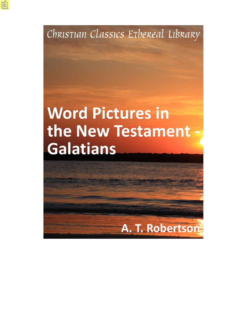Christian Classics Ethereal Library

# **Word Pictures in** the New Testament **Galatians**

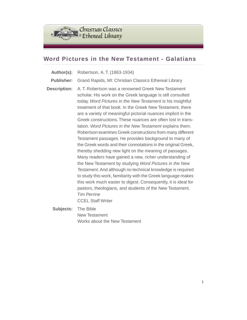

## **Word Pictures in the New Testament - Galatians**

- **Author(s):** Robertson, A. T. (1863-1934)
- **Publisher:** Grand Rapids, MI: Christian Classics Ethereal Library
- **Description:** A. T. Robertson was a renowned Greek New Testament scholar. His work on the Greek language is still consulted today. *Word Pictures in the New Testament* is his insightful treatment of that book. In the Greek New Testament, there are a variety of meaningful pictorial nuances implicit in the Greek constructions. These nuances are often lost in translation. *Word Pictures in the New Testament* explains them. Robertson examines Greek constructions from many different Testament passages. He provides background to many of the Greek words and their connotations in the original Greek, thereby shedding new light on the meaning of passages. Many readers have gained a new, richer understanding of the New Testament by studying *Word Pictures in the New Testament*. And although no technical knowledge is required to study this work, familiarity with the Greek language makes this work much easier to digest. Consequently, it is ideal for pastors, theologians, and students of the New Testament. Tim Perrine CCEL Staff Writer

**Subjects:** The Bible New Testament Works about the New Testament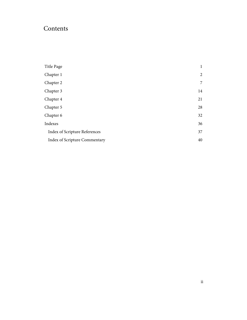# Contents

| Title Page                    | $\mathbf{1}$   |
|-------------------------------|----------------|
| Chapter 1                     | 2              |
| Chapter 2                     | $\overline{7}$ |
| Chapter 3                     | 14             |
| Chapter 4                     | 21             |
| Chapter 5                     | 28             |
| Chapter 6                     | 32             |
| Indexes                       | 36             |
| Index of Scripture References | 37             |
| Index of Scripture Commentary | 40             |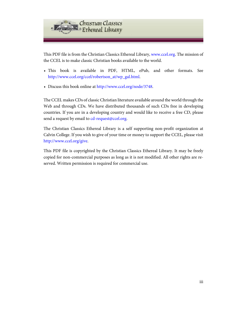

This PDF file is from the Christian Classics Ethereal Library, [www.ccel.org.](http://www.ccel.org) The mission of the CCEL is to make classic Christian books available to the world.

- This book is available in PDF, HTML, ePub, and other formats. See [http://www.ccel.org/ccel/robertson\\_at/wp\\_gal.html.](http://www.ccel.org/ccel/robertson_at/wp_gal.html)
- Discuss this book online at [http://www.ccel.org/node/3748.](http://www.ccel.org/node/3748)

The CCEL makes CDs of classic Christian literature available around the world through the Web and through CDs. We have distributed thousands of such CDs free in developing countries. If you are in a developing country and would like to receive a free CD, please send a request by email to [cd-request@ccel.org.](mailto:cd-request@ccel.org)

The Christian Classics Ethereal Library is a self supporting non-profit organization at Calvin College. If you wish to give of your time or money to support the CCEL, please visit [http://www.ccel.org/give.](http://www.ccel.org/give)

This PDF file is copyrighted by the Christian Classics Ethereal Library. It may be freely copied for non-commercial purposes as long as it is not modified. All other rights are reserved. Written permission is required for commercial use.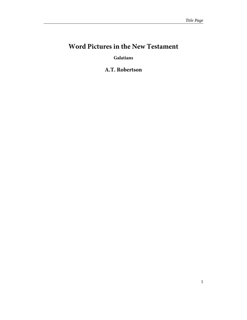# <span id="page-4-0"></span>**Word Pictures in the New Testament**

**Galatians**

**A.T. Robertson**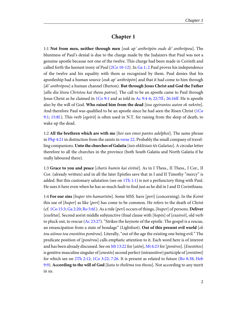#### **Chapter 1**

<span id="page-5-11"></span><span id="page-5-8"></span><span id="page-5-2"></span><span id="page-5-0"></span>1:1 **Not from men, neither through men** [ouk ap' anthrōpōn oude di' anthrōpou]. The bluntness of Paul's denial is due to the charge made by the Judaizers that Paul was not a genuine apostle because not one of the twelve. This charge had been made in Corinth and called forth the keenest irony of Paul ([2Co 10-12](http://www.ccel.org/study/Bible:2Cor.10)). In [Ga 1; 2](http://www.ccel.org/study/Bible:Gal.1 Bible:Gal.2) Paul proves his independence of the twelve and his equality with them as recognized by them. Paul denies that his apostleship had a human source [ouk ap' anthropon] and that it had come to him through [di' anthrōpou] a human channel (Burton). **But through Jesus Christ and God the Father** [alla dia Iēsou Christou kai theou patros]. The call to be an apostle came to Paul through Jesus Christ as he claimed in  $1Co 9:1$  and as told in Ac  $9:4-6$ ;  $22:7ff$ ;  $26:16ff$ . He is apostle also by the will of God. **Who raised him from the dead** [tou egeirantos auton ek nekrōn]. And therefore Paul was qualified to be an apostle since he had seen the Risen Christ ([1Co](http://www.ccel.org/study/Bible:1Cor.9.1) [9:1](http://www.ccel.org/study/Bible:1Cor.9.1); [15:8f.\)](http://www.ccel.org/study/Bible:1Cor.15.8). This verb  $[e$ *geiro* $]$  is often used in N.T. for raising from the sleep of death, to wake up the dead.

<span id="page-5-9"></span><span id="page-5-7"></span><span id="page-5-6"></span>1:2 **All the brethren which are with me** [hoi sun emoi pantes adelphoi]. The same phrase in [Php 4:21](http://www.ccel.org/study/Bible:Phil.4.21) in distinction from the saints in [verse 22.](http://www.ccel.org/study/Bible:Gal.1.22) Probably the small company of travelling companions. **Unto the churches of Galatia** [tais ekklēsiais tēs Galatias]. A circular letter therefore to all the churches in the province (both South Galatia and North Galatia if he really laboured there).

<span id="page-5-10"></span>1:3 **Grace to you and peace** [charis humin kai eirēnē]. As in I Thess., II Thess., I Cor., II Cor. (already written) and in all the later Epistles save that in I and II Timothy "mercy" is added. But this customary salutation (see on  $1Th 1:1$ ) is not a perfunctory thing with Paul. He uses it here even when he has so much fault to find just as he did in I and II Corinthians.

<span id="page-5-5"></span><span id="page-5-4"></span><span id="page-5-3"></span><span id="page-5-1"></span>1:4 **For our sins** [huper tōn hamartiōn]. Some MSS. have [peri] (concerning). In the Koinē this use of [huper] as like [peri] has come to be common. He refers to the death of Christ (cf. [1Co 15:3;](http://www.ccel.org/study/Bible:1Cor.15.3) [Ga 2:20](http://www.ccel.org/study/Bible:Gal.2.20); [Ro 5:6f.\)](http://www.ccel.org/study/Bible:Rom.5.6). As a rule [peri] occurs of things, [huper] of persons. **Deliver** [exelētai]. Second aorist middle subjunctive (final clause with [hopōs] of [exaireō], old verb to pluck out, to rescue ([Ac 23:27\)](http://www.ccel.org/study/Bible:Acts.23.27). "Strikes the keynote of the epistle. The gospel is a rescue, an emancipation from a state of bondage" (Lightfoot). **Out of this present evil world** [ek tou aiōnos tou enestōtos ponērou]. Literally, "out of the age the existing one being evil." The predicate position of [ponērou] calls emphatic attention to it. Each word here is of interest and has been already discussed. See on [Mt 13:22](http://www.ccel.org/study/Bible:Matt.13.22) for [aiōn], [Mt 6:23](http://www.ccel.org/study/Bible:Matt.6.23) for [ponēros]. [Enestōtos] is genitive masculine singular of [enestōs] second perfect (intransitive) participle of [enistēmi] for which see on [2Th 2:12](http://www.ccel.org/study/Bible:2Thess.2.12); [1Co 3:22; 7:26](http://www.ccel.org/study/Bible:1Cor.3.22 Bible:1Cor.7.26). It is present as related to future ([Ro 8:38;](http://www.ccel.org/study/Bible:Rom.8.38) [Heb](http://www.ccel.org/study/Bible:Heb.9.9) [9:9](http://www.ccel.org/study/Bible:Heb.9.9)). **According to the will of God** [kata to thelēma tou theou]. Not according to any merit in us.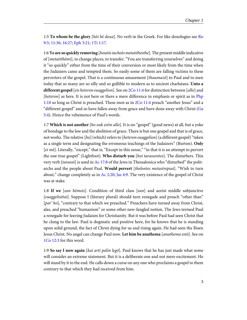<span id="page-6-7"></span><span id="page-6-2"></span>1:5 **To whom be the glory** [hōi hē doxa]. No verb in the Greek. For like doxologies see [Ro](http://www.ccel.org/study/Bible:Rom.9.5 Bible:Rom.11.36 Bible:Rom.16.27) [9:5; 11:36; 16:27](http://www.ccel.org/study/Bible:Rom.9.5 Bible:Rom.11.36 Bible:Rom.16.27); [Eph 3:21](http://www.ccel.org/study/Bible:Eph.3.21); [1Ti 1:17.](http://www.ccel.org/study/Bible:1Tim.1.17)

<span id="page-6-8"></span><span id="page-6-4"></span>1:6 **Ye are so quickly removing** [houtōs tacheōs metatithesthe]. The present middle indicative of [metatithēmi], to change places, to transfer. "You are transferring yourselves" and doing it "so quickly" either from the time of their conversion or most likely from the time when the Judaizers came and tempted them. So easily some of them are falling victims to these perverters of the gospel. That is a continuous amazement [thaumazō] to Paul and to men today that so many are so silly and so gullible to modern as to ancient charlatans. **Unto a different gospel** [eis heteron euaggelion]. See on [2Co 11:4](http://www.ccel.org/study/Bible:2Cor.11.4) for distinction between [allo] and [heteron] as here. It is not here or there a mere difference in emphasis or spirit as in [Php](http://www.ccel.org/study/Bible:Phil.1.18) [1:18](http://www.ccel.org/study/Bible:Phil.1.18) so long as Christ is preached. These men as in [2Co 11:4](http://www.ccel.org/study/Bible:2Cor.11.4) preach "another Jesus" and a "different gospel" and so have fallen away from grace and have done away with Christ [\(Ga](http://www.ccel.org/study/Bible:Gal.5.4) [5:4](http://www.ccel.org/study/Bible:Gal.5.4)). Hence the vehemence of Paul's words.

<span id="page-6-6"></span><span id="page-6-5"></span><span id="page-6-1"></span><span id="page-6-0"></span>1:7 **Which is not another** [ho ouk estin allo]. It is no "gospel" (good news) at all, but a yoke of bondage to the law and the abolition of grace. There is but one gospel and that is of grace, not works. The relative [ho] (which) refers to [heteron euaggelion] (a different gospel) "taken as a single term and designating the erroneous teachings of the Judaizers" (Burton). **Only** [ei mē]. Literally, "except," that is, "Except in this sense," "in that it is an attempt to pervert the one true gospel" (Lightfoot). **Who disturb you** [hoi tarassontes]. The disturbers. This very verb [tarassō] is used in [Ac 17:8](http://www.ccel.org/study/Bible:Acts.17.8) of the Jews in Thessalonica who "disturbed" the politarchs and the people about Paul. **Would pervert** [thelontes metastrepsai]. "Wish to turn about," change completely as in [Ac 2:20;](http://www.ccel.org/study/Bible:Acts.2.20) [Jas 4:9.](http://www.ccel.org/study/Bible:Jas.4.9) The very existence of the gospel of Christ was at stake.

<span id="page-6-3"></span>1:8 **If we** [ean hēmeis]. Condition of third class [ean] and aorist middle subjunctive [euaggelisētai]. Suppose I (literary plural) should turn renegade and preach "other than" [par' ho], "contrary to that which we preached." Preachers have turned away from Christ, alas, and preached "humanism" or some other new-fangled notion. The Jews termed Paul a renegade for leaving Judaism for Christianity. But it was before Paul had seen Christ that he clung to the law. Paul is dogmatic and positive here, for he knows that he is standing upon solid ground, the fact of Christ dying for us and rising again. He had seen the Risen Jesus Christ. No angel can change Paul now. **Let him be anathema** [anathema estō]. See on [1Co 12:3](http://www.ccel.org/study/Bible:1Cor.12.3) for this word.

1:9 **So say I now again** [kai arti palin legō]. Paul knows that he has just made what some will consider an extreme statement. But it is a deliberate one and not mere excitement. He will stand by it to the end. He calls down a curse on any one who proclaims a gospel to them contrary to that which they had received from him.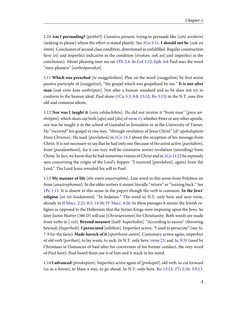<span id="page-7-8"></span><span id="page-7-6"></span>1:10 **Am I persuading?** [peithō?]. Conative present, trying to persuade like [zētō areskein] (seeking to please) where the effort is stated plainly. See [2Co 5:11.](http://www.ccel.org/study/Bible:2Cor.5.11) **I should not be** [ouk an ēmēn]. Conclusion of second class condition, determined as unfulfilled. Regular construction here  $[ei]$  and imperfect indicative in the condition  $[*éreskon*, *ouk an*]$  and imperfect in the conclusion). About pleasing men see on [1Th 2:4.](http://www.ccel.org/study/Bible:1Thess.2.4) In [Col 3:22](http://www.ccel.org/study/Bible:Col.3.22); [Eph. 6:6](http://www.ccel.org/study/Bible:Eph.6.6) Paul uses the word "men-pleasers" [anthrōpareskoi].

<span id="page-7-2"></span>1:11 **Which was preached** [to euaggelisthen]. Play on the word [euaggelion] by first aorist passive participle of [euaggelizō], "the gospel which was gospelized by me." **It is not after man** [ouk estin kata anthrōpon]. Not after a human standard and so he does not try to conform to the human ideal. Paul alone  $(1Co\ 3:3; 9:8; 15:32; Ro\ 3:15)$  in the N.T. uses this old and common idiom.

<span id="page-7-7"></span><span id="page-7-5"></span><span id="page-7-4"></span>1:12 **Nor was I taught it** [oute edidachthēn]. He did not receive it "from man" [para anthrōpōn], which shuts out both  $[apo]$  and  $[dia]$  of [verse 1](http://www.ccel.org/study/Bible:Gal.1.1)), whether Peter or any other apostle, nor was he taught it in the school of Gamaliel in Jerusalem or at the University of Tarsus. He "received" his gospel in one way, "through revelation of Jesus Christ"  $\left[ di' \text{ apokalupse}\right]$ Iēsou Christou]. He used [parelabon] in [1Co 15:3](http://www.ccel.org/study/Bible:1Cor.15.3) about the reception of his message from Christ. It is not necessary to say that he had only one (because of the aorist active [parelabon], from [*paralambanō*], for it can very well be constative aorist) revelation (unveiling) from Christ. In fact, we know that he had numerous visions of Christ and in  $1Co$   $11:23$  he expressly says concerning the origin of the Lord's Supper: "I received [parelabon], again) from the Lord." The Lord Jesus revealed his will to Paul.

<span id="page-7-10"></span><span id="page-7-9"></span><span id="page-7-1"></span><span id="page-7-0"></span>1:13 **My manner of life** [tēn emēn anastrophēn]. Late word in this sense from Polybius on from [anastrephomai]. In the older writers it meant literally "return" or "turning back." See [1Pe 1:15.](http://www.ccel.org/study/Bible:1Pet.1.15) It is absent in this sense in the papyri though the verb is common. **In the Jews' religion** [en tōi Ioudaismōi]. "In Judaism." The word in N.T. only here and next verse, already in [II Macc. 2:21;](http://www.ccel.org/study/Bible:2Macc.2.21) [8:1;](http://www.ccel.org/study/Bible:2Macc.8.1) [14:38](http://www.ccel.org/study/Bible:2Macc.14.38); [IV Macc. 4:26.](http://www.ccel.org/study/Bible:4Macc.4.16) In these passages it means the Jewish religion as opposed to the Hellenism that the Syrian Kings were imposing upon the Jews. So later Justin Martyr (386 D) will use [Christianismos] for Christianity. Both words are made from verbs in [-izō]. **Beyond measure** [kath' huperbolēn]. "According to excess" (throwing beyond, [huperbolē]. **I persecuted** [ediōkon]. Imperfect active, "I used to persecute" (see [Ac](http://www.ccel.org/study/Bible:Acts.7) [7-9](http://www.ccel.org/study/Bible:Acts.7) for the facts). **Made havock of it** [eporthoun autēn]. Customary action again, imperfect of old verb  $[portfolio, to \text{lay waste}, to \text{sack}, \text{In N.T.} \text{ only here}, \text{verse } 23, \text{and AC } 9:31 \text{ (used by)}$ Christians in Damascus of Saul after his conversion of his former conduct, the very word of Paul here). Paul heard them use it of him and it stuck in his mind.

<span id="page-7-3"></span>1:14 **I advanced** [proekopton]. Imperfect active again of [prokoptō], old verb, to cut forward (as in a forest), to blaze a way, to go ahead. In N.T. only here, [Ro 13:12;](http://www.ccel.org/study/Bible:Rom.13.12) [2Ti 2:16; 3:9,13.](http://www.ccel.org/study/Bible:2Tim.2.16 Bible:2Tim.3.9 Bible:2Tim.3.13)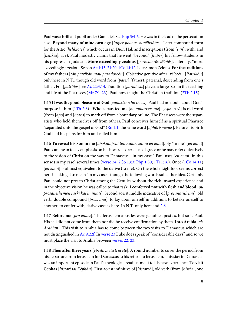<span id="page-8-8"></span><span id="page-8-1"></span>Paul was a brilliant pupil under Gamaliel. See [Php 3:4-6.](http://www.ccel.org/study/Bible:Phil.3.4-Phil.3.6) He was in the lead of the persecution also. **Beyond many of mine own age** [huper pollous sunēlikiōtas]. Later compound form for the Attic [hēlikiōtēs] which occurs in Dion Hal. and inscriptions (from [sun], with, and [hēlikia], age). Paul modestly claims that he went "beyond" [huper] his fellow-students in his progress in Judaism. **More exceedingly zealous** [perissoterōs zēlotēs]. Literally, "more exceedingly a zealot." See on [Ac 1:13; 21:20;](http://www.ccel.org/study/Bible:Acts.1.13 Bible:Acts.21.20) [1Co 14:12.](http://www.ccel.org/study/Bible:1Cor.14.12) Like Simon Zelotes. **For the traditions of my fathers** [tōn patrikōn mou paradoseōn]. Objective genitive after [zēlotēs]. [Patrikōn] only here in N.T., though old word from [patēr] (father), paternal, descending from one's father. For [patrōios] see [Ac 22:3,14.](http://www.ccel.org/study/Bible:Acts.22.3 Bible:Acts.22.14) Tradition [paradosis] played a large part in the teaching and life of the Pharisees ( $Mr 7:1-23$ ). Paul now taught the Christian tradition ([2Th 2:15](http://www.ccel.org/study/Bible:2Thess.2.15)).

<span id="page-8-9"></span><span id="page-8-4"></span><span id="page-8-3"></span><span id="page-8-0"></span>1:15 **It was the good pleasure of God** [eudokēsen ho theos]. Paul had no doubt about God's purpose in him [\(1Th 2:8](http://www.ccel.org/study/Bible:1Thess.2.8)). **Who separated me** [ho aphorisas me]. [Aphorizō] is old word (from [apo] and [horos] to mark off from a boundary or line. The Pharisees were the separatists who held themselves off from others. Paul conceives himself as a spiritual Pharisee "separated unto the gospel of God" [\(Ro 1:1,](http://www.ccel.org/study/Bible:Rom.1.1) the same word [*aphōrismenos*]. Before his birth God had his plans for him and called him.

<span id="page-8-5"></span>1:16 **To reveal his Son in me** [apokalupsai ton huion autou en emoi]. By "in me" [en emoi] Paul can mean to lay emphasis on his inward experience of grace or he may refer objectively to the vision of Christ on the way to Damascus, "in my case." Paul uses [en emoi] in this sense (in my case) several times [\(verse 24;](http://www.ccel.org/study/Bible:Gal.1.24) [2Co 13:3;](http://www.ccel.org/study/Bible:2Cor.13.3) [Php 1:30](http://www.ccel.org/study/Bible:Phil.1.30); [1Ti 1:16](http://www.ccel.org/study/Bible:1Tim.1.16)). Once ([1Co 14:11](http://www.ccel.org/study/Bible:1Cor.14.11)) [en emoi] is almost equivalent to the dative (to me). On the whole Lightfoot seems correct here in taking it to mean "in my case," though the following words suit either idea. Certainly Paul could not preach Christ among the Gentiles without the rich inward experience and in the objective vision he was called to that task. **I conferred not with flesh and blood** [ $ou$ prosanethemēn sarki kai haimati]. Second aorist middle indicative of [prosanatithēmi], old verb, double compound [pros, ana], to lay upon oneself in addition, to betake oneself to another, to confer with, dative case as here. In N.T. only here and [2:6.](http://www.ccel.org/study/Bible:Gal.2.6)

<span id="page-8-7"></span><span id="page-8-6"></span><span id="page-8-2"></span>1:17 **Before me** [pro emou]. The Jerusalem apostles were genuine apostles, but so is Paul. His call did not come from them nor did he receive confirmation by them. **Into Arabia** [eis Arabian]. This visit to Arabia has to come between the two visits to Damascus which are not distinguished in [Ac 9:22f.](http://www.ccel.org/study/Bible:Acts.9.22) In [verse 23](http://www.ccel.org/study/Bible:Gal.1.23) Luke does speak of "considerable days" and so we must place the visit to Arabia between [verses 22, 23](http://www.ccel.org/study/Bible:Gal.1.22 Bible:Gal.1.23).

1:18 **Then after three years**[epeita meta tria etē]. A round number to cover the period from his departure from Jerusalem for Damascus to his return to Jerusalem. This stay in Damascus was an important episode in Paul's theological readjustment to his new experience. **To visit Cephas** [historēsai Kēphān]. First aorist infinitive of [historeō], old verb (from [histōr], one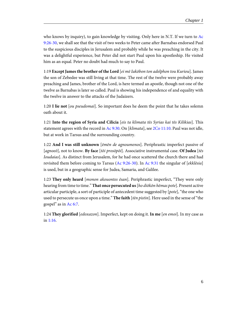<span id="page-9-1"></span>who knows by inquiry), to gain knowledge by visiting. Only here in N.T. If we turn to [Ac](http://www.ccel.org/study/Bible:Acts.9.26-Acts.9.30) [9:26-30,](http://www.ccel.org/study/Bible:Acts.9.26-Acts.9.30) we shall see that the visit of two weeks to Peter came after Barnabas endorsed Paul to the suspicious disciples in Jerusalem and probably while he was preaching in the city. It was a delightful experience, but Peter did not start Paul upon his apostleship. He visited him as an equal. Peter no doubt had much to say to Paul.

1:19 **Except James the brother of the Lord** [ei mē Iakōbon ton adelphon tou Kuriou]. James the son of Zebedee was still living at that time. The rest of the twelve were probably away preaching and James, brother of the Lord, is here termed an apostle, though not one of the twelve as Barnabas is later so called. Paul is showing his independence of and equality with the twelve in answer to the attacks of the Judaizers.

1:20 **I lie not** [ou pseudomai]. So important does he deem the point that he takes solemn oath about it.

<span id="page-9-3"></span>1:21 **Into the region of Syria and Cilicia** [eis ta klimata tēs Syrias kai tēs Kilikias]. This statement agrees with the record in [Ac 9:30](http://www.ccel.org/study/Bible:Acts.9.30). On [klimata], see [2Co 11:10.](http://www.ccel.org/study/Bible:2Cor.11.10) Paul was not idle, but at work in Tarsus and the surrounding country.

<span id="page-9-2"></span>1:22 **And I was still unknown** [ēmēn de agnoumenos]. Periphrastic imperfect passive of [agnoeō], not to know. **By face** [tōi prosōpōi]. Associative instrumental case. **Of Judea** [tēs Ioudaias]. As distinct from Jerusalem, for he had once scattered the church there and had revisited them before coming to Tarsus [\(Ac 9:26-30](http://www.ccel.org/study/Bible:Acts.9.26-Acts.9.30)). In [Ac 9:31](http://www.ccel.org/study/Bible:Acts.9.31) the singular of  $[ekkl\bar{e}sia]$ is used, but in a geographic sense for Judea, Samaria, and Galilee.

<span id="page-9-0"></span>1:23 **They only heard** [monon akouontes ēsan]. Periphrastic imperfect, "They were only hearing from time to time." **That once persecuted us**[ho diōkōn hēmas pote]. Present active articular participle, a sort of participle of antecedent time suggested by [pote], "the one who used to persecute us once upon a time." **The faith** [tēn pistin]. Here used in the sense of "the gospel" as in [Ac 6:7.](http://www.ccel.org/study/Bible:Acts.6.7)

<span id="page-9-4"></span>1:24 **They glorified** [edoxazon]. Imperfect, kept on doing it. **In me** [en emoi]. In my case as in [1:16.](http://www.ccel.org/study/Bible:Gal.1.16)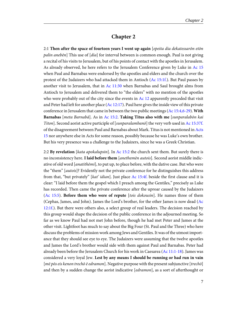#### **Chapter 2**

<span id="page-10-11"></span><span id="page-10-7"></span><span id="page-10-6"></span><span id="page-10-5"></span><span id="page-10-3"></span><span id="page-10-2"></span><span id="page-10-0"></span>2:1 **Then after the space of fourteen years I went up again** [epeita dia dekatessarōn etōn palin aneben] This use of [dia] for interval between is common enough. Paul is not giving a recital of his visits to Jerusalem, but of his points of contact with the apostles in Jerusalem. As already observed, he here refers to the Jerusalem Conference given by Luke in [Ac 15](http://www.ccel.org/study/Bible:Acts.15) when Paul and Barnabas were endorsed by the apostles and elders and the church over the protest of the Judaizers who had attacked them in Antioch [\(Ac 15:1f.](http://www.ccel.org/study/Bible:Acts.15.1)). But Paul passes by another visit to Jerusalem, that in  $Ac 11:30$  when Barnabas and Saul brought alms from Antioch to Jerusalem and delivered them to "the elders" with no mention of the apostles who were probably out of the city since the events in  $Ac$  12 apparently preceded that visit and Peter had left for another place  $(Ac 12:17)$  $(Ac 12:17)$  $(Ac 12:17)$ . Paul here gives the inside view of this private conference in Jerusalem that came in between the two public meetings [\(Ac 15:4,6-29](http://www.ccel.org/study/Bible:Acts.15.4 Bible:Acts.15.6-Acts.15.29)). **With Barnabas** [meta Barnabā]. As in [Ac 15:2.](http://www.ccel.org/study/Bible:Acts.15.2) **Taking Titus also with me** [sunparalabōn kai Titon]. Second aorist active participle of [sunparalambanō] the very verb used in [Ac 15:37f.](http://www.ccel.org/study/Bible:Acts.15.37) of the disagreement between Paul and Barnabas about Mark. Titus is not mentioned in [Acts](http://www.ccel.org/study/Bible:Acts.15.1-Acts.15.41) [15](http://www.ccel.org/study/Bible:Acts.15.1-Acts.15.41) nor anywhere else in Acts for some reason, possibly because he was Luke's own brother. But his very presence was a challenge to the Judaizers, since he was a Greek Christian.

<span id="page-10-14"></span><span id="page-10-13"></span><span id="page-10-12"></span><span id="page-10-10"></span><span id="page-10-9"></span><span id="page-10-8"></span><span id="page-10-4"></span><span id="page-10-1"></span>2:2 **By revelation** [kata apokalupsin]. In [Ac 15:2](http://www.ccel.org/study/Bible:Acts.15.2) the church sent them. But surely there is no inconsistency here. **I laid before them** [anethemēn autois]. Second aorist middle indicative of old word [*anatithēmi*], to put up, to place before, with the dative case. But who were the "them" [autois]? Evidently not the private conference for he distinguishes this address from that, "but privately" [kat' idian]. Just place [Ac 15:4f.](http://www.ccel.org/study/Bible:Acts.15.4) beside the first clause and it is clear: "I laid before them the gospel which I preach among the Gentiles," precisely as Luke has recorded. Then came the private conference after the uproar caused by the Judaizers ([Ac 15:5\)](http://www.ccel.org/study/Bible:Acts.15.5). **Before them who were of repute** [tois dokousin]. He names three of them (Cephas, James, and John). James the Lord's brother, for the other James is now dead ([Ac](http://www.ccel.org/study/Bible:Acts.12.1) [12:1f.](http://www.ccel.org/study/Bible:Acts.12.1)). But there were others also, a select group of real leaders. The decision reached by this group would shape the decision of the public conference in the adjourned meeting. So far as we know Paul had not met John before, though he had met Peter and James at the other visit. Lightfoot has much to say about the Big Four (St. Paul and the Three) who here discuss the problems of mission work among Jews and Gentiles. It was of the utmost importance that they should see eye to eye. The Judaizers were assuming that the twelve apostles and James the Lord's brother would side with them against Paul and Barnabas. Peter had already been before the Jerusalem Church for his work in Caesarea ([Ac 11:1-18\)](http://www.ccel.org/study/Bible:Acts.11.1-Acts.11.18). James was considered a very loyal Jew. **Lest by any means I should be running or had run in vain** [mē pōs eis kenon trechō ē edramon]. Negative purpose with the present subjunctive [trechō] and then by a sudden change the aorist indicative [edramon], as a sort of afterthought or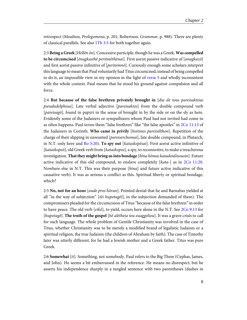<span id="page-11-5"></span>retrospect (Moulton, Prolegomena, p. 201; Robertson, Grammar, p. 988). There are plenty of classical parallels. See also [1Th 3:5](http://www.ccel.org/study/Bible:1Thess.3.5) for both together again.

<span id="page-11-4"></span>2:3 **Being a Greek** [Hellēn ōn]. Concessive participle, though he was a Greek. **Was compelled to be circumcised** [ēnagkasthē peritmēthēnai]. First aorist passive indicative of [anagkazō] and first aorist passive infinitive of [peritemnō]. Curiously enough some scholars interpret this language to mean that Paul voluntarily had Titus circumcised, instead of being compelled to do it, an impossible view in my opinion in the light of [verse 5](http://www.ccel.org/study/Bible:Gal.2.5) and wholly inconsistent with the whole context. Paul means that he stood his ground against compulsion and all force.

<span id="page-11-3"></span><span id="page-11-2"></span><span id="page-11-0"></span>2:4 **But because of the false brethren privately brought in** [dia de tous pareisaktous pseudadelphous]. Late verbal adjective [pareisaktos] from the double compound verb [pareisagō], found in papyri in the sense of brought in by the side or on the sly as here. Evidently some of the Judaizers or sympathizers whom Paul had not invited had come in as often happens. Paul terms them "false brethren" like "the false apostles" in [2Co 11:13](http://www.ccel.org/study/Bible:2Cor.11.13) of the Judaizers in Corinth. **Who came in privily** [hoitines pareisēlthon]. Repetition of the charge of their slipping in unwanted [pareiserchomai], late double compound, in Plutarch, in N.T. only here and [Ro 5:20\)](http://www.ccel.org/study/Bible:Rom.5.20). **To spy out** [kataskopēsai]. First aorist active infinitive of [kataskopeō], old Greek verb from [kataskopos], a spy, to reconnoitre, to make a treacherous investigation. **That they might bring us into bondage** [hina hēmas katadoulōsousin]. Future active indicative of this old compound, to enslave completely [kata-] as in [2Co 11:20.](http://www.ccel.org/study/Bible:2Cor.11.20) Nowhere else in N.T. This was their purpose [hina] and future active indicative of this causative verb). It was as serious a conflict as this. Spiritual liberty or spiritual bondage, which?

<span id="page-11-1"></span>2:5 **No, not for an hour** [oude pros hōran]. Pointed denial that he and Barnabas yielded at all "in the way of subjection" [teta hupotaget], in the subjection demanded of them). The compromisers pleaded for the circumcision of Titus "because of the false brethren" in order to have peace. The old verb  $[eik\bar{\sigma}]$ , to yield, occurs here alone in the N.T. See [2Co 9:13](http://www.ccel.org/study/Bible:2Cor.9.13) for [hupotagē]. **The truth of the gospel** [hē alētheia tou euaggeliou]. It was a grave crisis to call for such language. The whole problem of Gentile Christianity was involved in the case of Titus, whether Christianity was to be merely a modified brand of legalistic Judaism or a spiritual religion, the true Judaism (the children of Abraham by faith). The case of Timothy later was utterly different, for he had a Jewish mother and a Greek father. Titus was pure Greek.

2:6 **Somewhat** [ti]. Something, not somebody. Paul refers to the Big Three (Cephas, James, and John). He seems a bit embarrassed in the reference. He means no disrespect, but he asserts his independence sharply in a tangled sentence with two parentheses (dashes in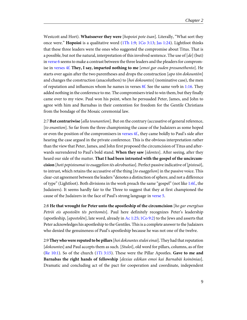<span id="page-12-7"></span><span id="page-12-4"></span><span id="page-12-3"></span><span id="page-12-1"></span>Westcott and Hort). **Whatsoever they were** [hopoioi pote ēsan]. Literally, "What sort they once were." **Hopoioi** is a qualitative word ([1Th 1:9](http://www.ccel.org/study/Bible:1Thess.1.9); [1Co 3:13;](http://www.ccel.org/study/Bible:1Cor.3.13) [Jas 1:24](http://www.ccel.org/study/Bible:Jas.1.24)). Lightfoot thinks that these three leaders were the ones who suggested the compromise about Titus. That is a possible, but not the natural, interpretation of this involved sentence. The use of  $[de]$  (but) in [verse 6](http://www.ccel.org/study/Bible:Gal.2.6) seems to make a contrast between the three leaders and the pleaders for compromise in [verses 4f.](http://www.ccel.org/study/Bible:Gal.2.4) **They, I say, imparted nothing to me** [emoi gar ouden prosanethento]. He starts over again after the two parentheses and drops the construction [apo ton dokounton] and changes the construction (anacoluthon) to [hoi dokountes] (nominative case), the men of reputation and influences whom he names in verses  $8f$ . See the same verb in [1:16](http://www.ccel.org/study/Bible:Gal.1.16). They added nothing in the conference to me. The compromisers tried to win them, but they finally came over to my view. Paul won his point, when he persuaded Peter, James, and John to agree with him and Barnabas in their contention for freedom for the Gentile Christians from the bondage of the Mosaic ceremonial law.

<span id="page-12-5"></span>2:7 **But contrariwise** [alla tounantion]. But on the contrary (accusative of general reference, [to enantion]. So far from the three championing the cause of the Judaizers as some hoped or even the position of the compromisers in [verses 4f.](http://www.ccel.org/study/Bible:Gal.2.4), they came boldly to Paul's side after hearing the case argued in the private conference. This is the obvious interpretation rather than the view that Peter, James, and John first proposed the circumcision of Titus and afterwards surrendered to Paul's bold stand. **When they saw** [idontes]. After seeing, after they heard our side of the matter. **That I had been intrusted with the gospel of the uncircumcision** [hoti pepisteumai to euaggelion tēs akrobustias]. Perfect passive indicative of [pisteuō], to intrust, which retains the accusative of the thing [to euaggelion] in the passive voice. This clear-cut agreement between the leaders "denotes a distinction of sphere, and not a difference of type" (Lightfoot). Both divisions in the work preach the same "gospel" (not like [1:6f.](http://www.ccel.org/study/Bible:Gal.1.6), the Judaizers). It seems hardly fair to the Three to suggest that they at first championed the cause of the Judaizers in the face of Paul's strong language in [verse 5](http://www.ccel.org/study/Bible:Gal.2.5).

<span id="page-12-6"></span><span id="page-12-2"></span><span id="page-12-0"></span>2:8 **He that wrought for Peter unto the apostleship of the circumcision** [ho gar energēsas Petrōi eis apostolēn tēs peritomēs]. Paul here definitely recognizes Peter's leadership (apostleship, [apostolēn], late word, already in [Ac 1:25](http://www.ccel.org/study/Bible:Acts.1.25); [1Co 9:2](http://www.ccel.org/study/Bible:1Cor.9.2)) to the Jews and asserts that Peter acknowledges his apostleship to the Gentiles. This is a complete answer to the Judaizers who denied the genuineness of Paul's apostleship because he was not one of the twelve.

<span id="page-12-8"></span>2:9 **They who were reputed to be pillars**[hoi dokountes stuloi einai]. They had that reputation [dokountes] and Paul accepts them as such. [Stuloi], old word for pillars, columns, as of fire ([Re 10:1](http://www.ccel.org/study/Bible:Rev.10.1)). So of the church ([1Ti 3:15\)](http://www.ccel.org/study/Bible:1Tim.3.15). These were the Pillar Apostles. **Gave to me and Barnabas the right hands of fellowship** [dexias edōkan emoi kai Barnabāi koinōnias]. Dramatic and concluding act of the pact for cooperation and coordinate, independent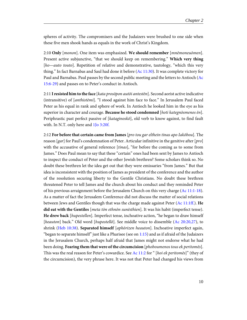spheres of activity. The compromisers and the Judaizers were brushed to one side when these five men shook hands as equals in the work of Christ's Kingdom.

<span id="page-13-4"></span><span id="page-13-3"></span>2:10 **Only** [monon]. One item was emphasized. **We should remember** [mnēmoneuōmen]. Present active subjunctive, "that we should keep on remembering." **Which very thing** [ho—auto touto]. Repetition of relative and demonstrative, tautology, "which this very thing." In fact Barnabas and Saul had done it before [\(Ac 11:30](http://www.ccel.org/study/Bible:Acts.11.30)). It was complete victory for Paul and Barnabas. Paul passes by the second public meeting and the letters to Antioch ([Ac](http://www.ccel.org/study/Bible:Acts.15.6-Acts.15.29) [15:6-29\)](http://www.ccel.org/study/Bible:Acts.15.6-Acts.15.29) and passes on to Peter's conduct in Antioch.

<span id="page-13-8"></span>2:11 **I resisted him to the face** [kata prosōpon autōi antestēn]. Second aorist active indicative (intransitive) of [anthistēmi]. "I stood against him face to face." In Jerusalem Paul faced Peter as his equal in rank and sphere of work. In Antioch he looked him in the eye as his superior in character and courage. Because he stood condemned [hoti kategnōsmenos ēn]. Periphrastic past perfect passive of [kataginoskō], old verb to know against, to find fault with. In N.T. only here and [1Jo 3:20f.](http://www.ccel.org/study/Bible:1John.3.20)

<span id="page-13-7"></span><span id="page-13-6"></span><span id="page-13-5"></span><span id="page-13-2"></span><span id="page-13-1"></span><span id="page-13-0"></span>2:12 **For before that certain came from James** [pro tou gar elthein tinas apo Iakōbou]. The reason  $\left[ \varphi a r \right]$  for Paul's condemnation of Peter. Articular infinitive in the genitive after  $\left[ \varphi r \right]$ with the accusative of general reference [tinas], "for before the coming as to some from James." Does Paul mean to say that these "certain" ones had been sent by James to Antioch to inspect the conduct of Peter and the other Jewish brethren? Some scholars think so. No doubt these brethren let the idea get out that they were emissaries "from James." But that idea is inconsistent with the position of James as president of the conference and the author of the resolution securing liberty to the Gentile Christians. No doubt these brethren threatened Peter to tell James and the church about his conduct and they reminded Peter of his previous arraignment before the Jerusalem Church on this very charge [\(Ac 11:1-18\)](http://www.ccel.org/study/Bible:Acts.11.1-Acts.11.18). As a matter of fact the Jerusalem Conference did not discuss the matter of social relations between Jews and Gentiles though that was the charge made against Peter [\(Ac 11:1ff.\)](http://www.ccel.org/study/Bible:Acts.11.1). **He did eat with the Gentiles** [meta tōn ethnōn sunēsthien]. It was his habit (imperfect tense). **He drew back** [hupestellen]. Imperfect tense, inchoative action, "he began to draw himself [heauton] back." Old word [hupostellō]. See middle voice to dissemble ([Ac 20:20,27](http://www.ccel.org/study/Bible:Acts.20.20 Bible:Acts.20.27)), to shrink ([Heb 10:38](http://www.ccel.org/study/Bible:Heb.10.38)). **Separated himself** [aphōrizen heauton]. Inchoative imperfect again, "began to separate himself" just like a Pharisee (see on  $1:15$ ) and as if afraid of the Judaizers in the Jerusalem Church, perhaps half afraid that James might not endorse what he had been doing. **Fearing them that were of the circumcision** [phoboumenos tous ek peritomēs]. This was the real reason for Peter's cowardice. See [Ac 11:2](http://www.ccel.org/study/Bible:Acts.11.2) for " [hoi ek peritomēs]" (they of the circumcision), the very phrase here. It was not that Peter had changed his views from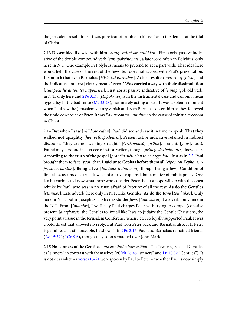the Jerusalem resolutions. It was pure fear of trouble to himself as in the denials at the trial of Christ.

<span id="page-14-6"></span><span id="page-14-0"></span>2:13 **Dissembled likewise with him** [sunupekrithēsan autōi kai]. First aorist passive indicative of the double compound verb [sunupokrinomai], a late word often in Polybius, only here in N.T. One example in Polybius means to pretend to act a part with. That idea here would help the case of the rest of the Jews, but does not accord with Paul's presentation. **Insomuch that even Barnabas** [hōste kai Barnabas]. Actual result expressed by [hōste] and the indicative and [kai] clearly means "even." **Was carried away with their dissimulation** [sunapēchthē autōn tēi hupokrisei]. First aorist passive indicative of [sunapagō], old verb, in N.T. only here and [2Pe 3:17](http://www.ccel.org/study/Bible:2Pet.3.17). [Hupokrisei] is in the instrumental case and can only mean hypocrisy in the bad sense [\(Mt 23:28](http://www.ccel.org/study/Bible:Matt.23.28)), not merely acting a part. It was a solemn moment when Paul saw the Jerusalem victory vanish and even Barnabas desert him as they followed the timid cowardice of Peter. It was Paulus contra mundum in the cause of spiritual freedom in Christ.

<span id="page-14-3"></span>2:14 **But when I saw** [All' hote eidon]. Paul did see and saw it in time to speak. **That they walked not uprightly** [hoti orthopodousin]. Present active indicative retained in indirect discourse, "they are not walking straight." [Orthopodeō] [orthos], straight, [pous], foot). Found only here and in later ecclesiastical writers, though [orthopodes bainontes] does occur. **According to the truth of the gospel** [pros tēn alētheian tou euaggeliou]. Just as in [2:5.](http://www.ccel.org/study/Bible:Gal.2.5) Paul brought them to face [pros] that. **I said unto Cephas before them all** [eipon tōi Kēphāi emprosthen pantōn]. **Being a Jew** [Ioudaios huparchōn], though being a Jew). Condition of first class, assumed as true. It was not a private quarrel, but a matter of public policy. One is a bit curious to know what those who consider Peter the first pope will do with this open rebuke by Paul, who was in no sense afraid of Peter or of all the rest. **As do the Gentiles** [ethnikōs]. Late adverb, here only in N.T. Like Gentiles. **As do the Jews** [Ioudaikōs]. Only here in N.T., but in Josephus. **To live as do the Jews** [Iouda‹zein]. Late verb, only here in the N.T. From [*Ioudaios*], Jew. Really Paul charges Peter with trying to compel (conative present, [anagkazeis] the Gentiles to live all like Jews, to Judaize the Gentile Christians, the very point at issue in the Jerusalem Conference when Peter so loyally supported Paul. It was a bold thrust that allowed no reply. But Paul won Peter back and Barnabas also. If II Peter is genuine, as is still possible, he shows it in  $2Pe$  3:15. Paul and Barnabas remained friends ([Ac 15:39f.;](http://www.ccel.org/study/Bible:Acts.15.39) [1Co 9:6\)](http://www.ccel.org/study/Bible:1Cor.9.6), though they soon separated over John Mark.

<span id="page-14-5"></span><span id="page-14-4"></span><span id="page-14-2"></span><span id="page-14-1"></span>2:15 **Not sinners of the Gentiles**[ouk ex ethnōn hamartōloi]. The Jews regarded all Gentiles as "sinners" in contrast with themselves (cf. [Mt 26:45](http://www.ccel.org/study/Bible:Matt.26.45) "sinners" and [Lu 18:32](http://www.ccel.org/study/Bible:Luke.18.32) "Gentiles"). It is not clear whether [verses 15-21](http://www.ccel.org/study/Bible:Gal.2.15-Gal.2.21) were spoken by Paul to Peter or whether Paul is now simply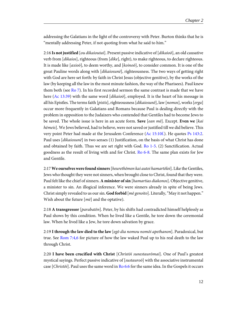addressing the Galatians in the light of the controversy with Peter. Burton thinks that he is "mentally addressing Peter, if not quoting from what he said to him."

<span id="page-15-5"></span><span id="page-15-1"></span>2:16 **Is not justified** [ou dikaioutai]. Present passive indicative of [dikaioō], an old causative verb from [dikaios], righteous (from [dike], right), to make righteous, to declare righteous. It is made like [ $axio\bar{o}$ ], to deem worthy, and [ $koino\bar{o}$ ], to consider common. It is one of the great Pauline words along with [dikaiosunē], righteousness. The two ways of getting right with God are here set forth: by faith in Christ Jesus (objective genitive), by the works of the law (by keeping all the law in the most minute fashion, the way of the Pharisees). Paul knew them both (see [Ro 7\)](http://www.ccel.org/study/Bible:Rom.7). In his first recorded sermon the same contrast is made that we have here [\(Ac 13:39\)](http://www.ccel.org/study/Bible:Acts.13.39) with the same word [dikaioo], employed. It is the heart of his message in all his Epistles. The terms faith [pistis], righteousness [dikaiosunē], law [nomos], works [erga] occur more frequently in Galatians and Romans because Paul is dealing directly with the problem in opposition to the Judaizers who contended that Gentiles had to become Jews to be saved. The whole issue is here in an acute form. **Save** [ean mē]. Except. **Even we** [kai hēmeis]. We Jews believed, had to believe, were not saved or justified till we did believe. This very point Peter had made at the Jerusalem Conference  $(Ac 15:10f)$ . He quotes [Ps 143:2.](http://www.ccel.org/study/Bible:Ps.143.2) Paul uses [dikaiosunē] in two senses (1) Justification, on the basis of what Christ has done and obtained by faith. Thus we are set right with God. [Ro 1-5](http://www.ccel.org/study/Bible:Rom.1). (2) Sanctification. Actual goodness as the result of living with and for Christ. [Ro 6-8.](http://www.ccel.org/study/Bible:Rom.6) The same plan exists for Jew and Gentile.

<span id="page-15-3"></span><span id="page-15-2"></span><span id="page-15-0"></span>2:17 **We ourselves were found sinners**[heurethēmen kai autoi hamartōloi]. Like the Gentiles, Jews who thought they were not sinners, when brought close to Christ, found that they were. Paul felt like the chief of sinners. **A minister of sin** [hamartias diakonos]. Objective genitive, a minister to sin. An illogical inference. We were sinners already in spite of being Jews. Christ simply revealed to us our sin. **God forbid** [mē genoito]. Literally, "May it not happen." Wish about the future  $[m\bar{e}]$  and the optative).

<span id="page-15-6"></span>2:18 **A transgressor** [parabatēn]. Peter, by his shifts had contradicted himself helplessly as Paul shows by this condition. When he lived like a Gentile, he tore down the ceremonial law. When he lived like a Jew, he tore down salvation by grace.

<span id="page-15-4"></span>2:19 **I through the law died to the law** [egō dia nomou nomōi apethanon]. Paradoxical, but true. See [Rom 7:4,6](http://www.ccel.org/study/Bible:Rom.7.4 Bible:Rom.7.6) for picture of how the law waked Paul up to his real death to the law through Christ.

2:20 **I have been crucified with Christ** [Christōi sunestaurōmai]. One of Paul's greatest mystical sayings. Perfect passive indicative of [sustauroo] with the associative instrumental case [Christōi]. Paul uses the same word in [Ro 6:6](http://www.ccel.org/study/Bible:Rom.6.6) for the same idea. In the Gospels it occurs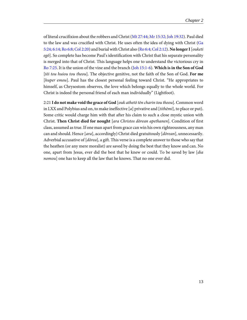<span id="page-16-3"></span><span id="page-16-2"></span><span id="page-16-1"></span><span id="page-16-0"></span>of literal crucifixion about the robbers and Christ [\(Mt 27:44;](http://www.ccel.org/study/Bible:Matt.27.44) [Mr 15:32; Joh 19:32\)](http://www.ccel.org/study/Bible:Mark.15.32 Bible:John.19.32). Paul died to the law and was crucified with Christ. He uses often the idea of dying with Christ [\(Ga](http://www.ccel.org/study/Bible:Gal.5.24 Bible:Gal.6.14) [5:24; 6:14;](http://www.ccel.org/study/Bible:Gal.5.24 Bible:Gal.6.14) [Ro 6:8](http://www.ccel.org/study/Bible:Rom.6.8); [Col 2:20](http://www.ccel.org/study/Bible:Col.2.20)) and burial with Christ also [\(Ro 6:4;](http://www.ccel.org/study/Bible:Rom.6.4) [Col 2:12\)](http://www.ccel.org/study/Bible:Col.2.12). **No longer I**[ouketi egō]. So complete has become Paul's identification with Christ that his separate personality is merged into that of Christ. This language helps one to understand the victorious cry in [Ro 7:25.](http://www.ccel.org/study/Bible:Rom.7.25) It is the union of the vine and the branch [\(Joh 15:1-6\)](http://www.ccel.org/study/Bible:John.15.1-John.15.6). **Which is in the Son of God** [tēi tou huiou tou theou]. The objective genitive, not the faith of the Son of God. **For me** [huper emou]. Paul has the closest personal feeling toward Christ. "He appropriates to himself, as Chrysostom observes, the love which belongs equally to the whole world. For Christ is indeed the personal friend of each man individually" (Lightfoot).

2:21 **I do not make void the grace of God** [ouk athetō tēn charin tou theou]. Common word in LXX and Polybius and on, to make ineffective [a] privative and [tithēmi], to place or put). Some critic would charge him with that after his claim to such a close mystic union with Christ. **Then Christ died for nought** [ara Christos dōrean apethanen]. Condition of first class, assumed as true. If one man apart from grace can win his own righteousness, any man can and should. Hence [ara], accordingly) Christ died gratuitously [dōrean], unnecessarily. Adverbial accusative of [dōrea], a gift. This verse is a complete answer to those who say that the heathen (or any mere moralist) are saved by doing the best that they know and can. No one, apart from Jesus, ever did the best that he knew or could. To be saved by law [dia nomou] one has to keep all the law that he knows. That no one ever did.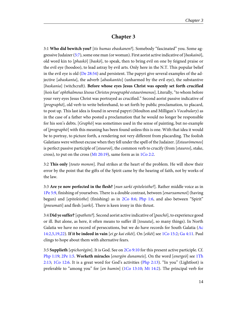## **Chapter 3**

<span id="page-17-9"></span><span id="page-17-1"></span><span id="page-17-0"></span>3:1 **Who did bewitch you?** [tis humas ebaskanen?]. Somebody "fascinated" you. Some ag-gressive Judaizer [\(5:7](http://www.ccel.org/study/Bible:Gal.5.7)), some one man (or woman). First aorist active indicative of [baskainō], old word kin to [phaskō] [baskō], to speak, then to bring evil on one by feigned praise or the evil eye (hoodoo), to lead astray by evil arts. Only here in the N.T. This popular belief in the evil eye is old ( $De 28:54$ ) and persistent. The papyri give several examples of the adjective [abaskanta], the adverb [abaskantōs] (unharmed by the evil eye), the substantive [baskania] (witchcraft). **Before whose eyes Jesus Christ was openly set forth crucified** [hois kat' ophthalmous Iēsous Christos proegraphē estaurōmenos]. Literally, "to whom before your very eyes Jesus Christ was portrayed as crucified." Second aorist passive indicative of [prographō], old verb to write beforehand, to set forth by public proclamation, to placard, to post up. This last idea is found in several papyri (Moulton and Milligan's Vocabulary) as in the case of a father who posted a proclamation that he would no longer be responsible for his son's debts. [Graphō] was sometimes used in the sense of painting, but no example of  $[prograph\delta]$  with this meaning has been found unless this is one. With that idea it would be to portray, to picture forth, a rendering not very different from placarding. The foolish Galatians were without excuse when they fell under the spell of the Judaizer. [Estaurōmenos] is perfect passive participle of [ $stauroō$ ], the common verb to crucify (from [ $stauro5$ ], stake, cross), to put on the cross [\(Mt 20:19\)](http://www.ccel.org/study/Bible:Matt.20.19), same form as in [1Co 2:2.](http://www.ccel.org/study/Bible:1Cor.2.2)

<span id="page-17-11"></span><span id="page-17-3"></span>3:2 **This only** [touto monon]. Paul strikes at the heart of the problem. He will show their error by the point that the gifts of the Spirit came by the hearing of faith, not by works of the law.

<span id="page-17-7"></span>3:3 **Are ye now perfected in the flesh?** [nun sarki epiteleisthe?]. Rather middle voice as in [1Pe 5:9](http://www.ccel.org/study/Bible:1Pet.5.9), finishing of yourselves. There is a double contrast, between [enarxamenoi] (having begun) and [*epiteleisthe*] (finishing) as in [2Co 8:6;](http://www.ccel.org/study/Bible:2Cor.8.6) [Php 1:6](http://www.ccel.org/study/Bible:Phil.1.6), and also between "Spirit" [*pneumati*] and flesh [*sarki*]. There is keen irony in this thrust.

<span id="page-17-10"></span><span id="page-17-8"></span><span id="page-17-6"></span><span id="page-17-4"></span>3:4 **Did ye suffer?**[epathete?]. Second aorist active indicative of [paschō], to experience good or ill. But alone, as here, it often means to suffer ill [tosauta], so many things). In North Galatia we have no record of persecutions, but we do have records for South Galatia ([Ac](http://www.ccel.org/study/Bible:Acts.14.2 Bible:Acts.14.5 Bible:Acts.14.19 Bible:Acts.14.22) [14:2,5,19,22](http://www.ccel.org/study/Bible:Acts.14.2 Bible:Acts.14.5 Bible:Acts.14.19 Bible:Acts.14.22)). **If it be indeed in vain** [ei ge kai eikēi]. On [eikēi] see [1Co 15:2;](http://www.ccel.org/study/Bible:1Cor.15.2) [Ga 4:11](http://www.ccel.org/study/Bible:Gal.4.11). Paul clings to hope about them with alternative fears.

<span id="page-17-5"></span><span id="page-17-2"></span>3:5 **Supplieth** [epichorēgōn]. It is God. See on [2Co 9:10](http://www.ccel.org/study/Bible:2Cor.9.10) for this present active participle. Cf. [Php 1:19;](http://www.ccel.org/study/Bible:Phil.1.19) [2Pe 1:5](http://www.ccel.org/study/Bible:2Pet.1.5). **Worketh miracles** [energōn dunameis]. On the word [energeō] see [1Th](http://www.ccel.org/study/Bible:1Thess.2.13) [2:13](http://www.ccel.org/study/Bible:1Thess.2.13); [1Co 12:6.](http://www.ccel.org/study/Bible:1Cor.12.6) It is a great word for God's activities ([Php 2:13\)](http://www.ccel.org/study/Bible:Phil.2.13). "In you" (Lightfoot) is preferable to "among you" for [en humin] ([1Co 13:10](http://www.ccel.org/study/Bible:1Cor.13.10); [Mt 14:2\)](http://www.ccel.org/study/Bible:Matt.14.2). The principal verb for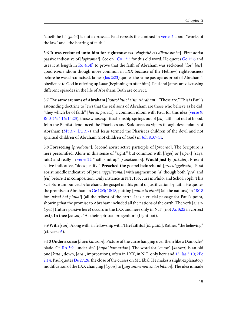<span id="page-18-9"></span>"doeth he it" [poiei] is not expressed. Paul repeats the contrast in [verse 2](http://www.ccel.org/study/Bible:Gal.3.2) about "works of the law" and "the hearing of faith."

<span id="page-18-14"></span><span id="page-18-8"></span><span id="page-18-1"></span>3:6 **It was reckoned unto him for righteousness** [elogisthē eis dikaiosunēn]. First aorist passive indicative of [logizomai]. See on [1Co 13:5](http://www.ccel.org/study/Bible:1Cor.13.5) for this old word. He quotes [Ge 15:6](http://www.ccel.org/study/Bible:Gen.15.6) and uses it at length in [Ro 4:3ff.](http://www.ccel.org/study/Bible:Rom.4.3) to prove that the faith of Abraham was reckoned "for" [eis], good Koinē idiom though more common in LXX because of the Hebrew) righteousness before he was circumcised. James ([Jas 2:23\)](http://www.ccel.org/study/Bible:Jas.2.23) quotes the same passage as proof of Abraham's obedience to God in offering up Isaac (beginning to offer him). Paul and James are discussing different episodes in the life of Abraham. Both are correct.

<span id="page-18-11"></span><span id="page-18-7"></span><span id="page-18-4"></span><span id="page-18-3"></span>3:7 **The same are sons of Abraham** [houtoi huioi eisin Abraham]. "These are." This is Paul's astounding doctrine to Jews that the real sons of Abraham are those who believe as he did, "they which be of faith" [hoi ek pisteōs], a common idiom with Paul for this idea ([verse 9;](http://www.ccel.org/study/Bible:Gal.3.9) [Ro 3:26; 4:16; 14:23\)](http://www.ccel.org/study/Bible:Rom.3.26 Bible:Rom.4.16 Bible:Rom.14.23), those whose spiritual sonship springs out of  $[ek]$  faith, not out of blood. John the Baptist denounced the Pharisees and Sadducees as vipers though descendants of Abraham [\(Mt 3:7](http://www.ccel.org/study/Bible:Matt.3.7); [Lu 3:7\)](http://www.ccel.org/study/Bible:Luke.3.7) and Jesus termed the Pharisees children of the devil and not spiritual children of Abraham (not children of God) in [Joh 8:37-44.](http://www.ccel.org/study/Bible:John.8.37-John.8.44)

<span id="page-18-13"></span><span id="page-18-0"></span>3:8 **Foreseeing** [proidousa]. Second aorist active participle of [prooraō]. The Scripture is here personified. Alone in this sense of "sight," but common with [legei] or [eipen] (says, said) and really in [verse 22](http://www.ccel.org/study/Bible:Gal.3.22) "hath shut up" [sunekleisen]. **Would justify** [dikaioi]. Present active indicative, "does justify." **Preached the gospel beforehand** [proeuēggelisato]. First aorist middle indicative of [*proeuaggelizomai*] with augment on [a] though both [*pro*] and [eu] before it in composition. Only instance in N.T. It occurs in Philo. and Schol. Soph. This Scripture announced beforehand the gospel on this point of justification by faith. He quotes the promise to Abraham in [Ge 12:3; 18:18,](http://www.ccel.org/study/Bible:Gen.12.3 Bible:Gen.18.18) putting [panta ta ethnē] (all the nations) in [18:18](http://www.ccel.org/study/Bible:Gal.18.18) for [pāsai hai phulai] (all the tribes) of the earth. It is a crucial passage for Paul's point, showing that the promise to Abraham included all the nations of the earth. The verb [eneu-logeō] (future passive here) occurs in the LXX and here only in N.T. (not [Ac 3:25](http://www.ccel.org/study/Bible:Acts.3.25) in correct text). **In thee** [en soi]. "As their spiritual progenitor" (Lightfoot).

<span id="page-18-12"></span><span id="page-18-10"></span><span id="page-18-6"></span><span id="page-18-5"></span>3:9 **With** [sun]. Along with, in fellowship with. **The faithful**[tōi pistōi]. Rather, "the believing"  $(cf. *verse* 6).$  $(cf. *verse* 6).$  $(cf. *verse* 6).$ 

<span id="page-18-2"></span>3:10 **Under a curse** [hupo kataran]. Picture of the curse hanging over them like a Damocles' blade. Cf. [Ro 3:9](http://www.ccel.org/study/Bible:Rom.3.9) "under sin" [huph' hamartian]. The word for "curse" [katara] is an old one [kata], down, [ara], imprecation), often in LXX, in N.T. only here and [13](http://www.ccel.org/study/Bible:Gal.3.13); [Jas 3:10](http://www.ccel.org/study/Bible:Jas.3.10); [2Pe](http://www.ccel.org/study/Bible:2Pet.2.14) [2:14](http://www.ccel.org/study/Bible:2Pet.2.14). Paul quotes [De 27:26](http://www.ccel.org/study/Bible:Deut.27.26), the close of the curses on Mt. Ebal. He makes a slight explanatory modification of the LXX changing [logois] to [gegrammenois en tōi bibliōi]. The idea is made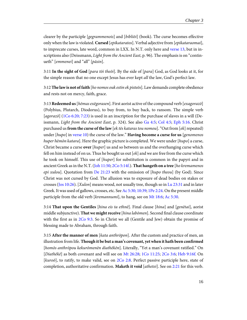<span id="page-19-11"></span>clearer by the participle [gegrammenois] and [bibliōi] (book). The curse becomes effective only when the law is violated. **Cursed** [epikataratos]. Verbal adjective from [epikataraomai], to imprecate curses, late word, common in LXX. In N.T. only here and [verse 13](http://www.ccel.org/study/Bible:Gal.3.13), but in inscriptions also (Deissmann, Light from the Ancient East, p. 96). The emphasis is on "continueth" [emmenei] and "all" [pāsin].

3:11 **In the sight of God** [para tōi theōi]. By the side of [para] God, as God looks at it, for the simple reason that no one except Jesus has ever kept all the law, God's perfect law.

3:12 **The law is not of faith** [ho nomos ouk estin ek pisteōs]. Law demands complete obedience and rests not on mercy, faith, grace.

<span id="page-19-12"></span><span id="page-19-10"></span><span id="page-19-6"></span><span id="page-19-4"></span><span id="page-19-0"></span>3:13 **Redeemed us**[hēmas exēgorasen]. First aorist active of the compound verb [exagorazō] (Polybius, Plutarch, Diodorus), to buy from, to buy back, to ransom. The simple verb  $[agoraz\bar{o}]$  [\(1Co 6:20; 7:23\)](http://www.ccel.org/study/Bible:1Cor.6.20 Bible:1Cor.7.23) is used in an inscription for the purchase of slaves in a will (Deissmann, Light from the Ancient East, p. 324). See also [Ga 4:5](http://www.ccel.org/study/Bible:Gal.4.5); [Col 4:5](http://www.ccel.org/study/Bible:Col.4.5); [Eph 5:16](http://www.ccel.org/study/Bible:Eph.5.16). Christ purchased us **from the curse of the law** [ek tēs kataras tou nomou]. "Out from [ek] repeated) under [hupo] in [verse 10\)](http://www.ccel.org/study/Bible:Gal.3.10) the curse of the law." **Having become a curse for us** [genomenos huper hēmōn katara]. Here the graphic picture is completed. We were under [hupo] a curse, Christ became a curse **over** [huper] us and so between us and the overhanging curse which fell on him instead of on us. Thus he bought us out  $[ek]$  and we are free from the curse which he took on himself. This use of [huper] for substitution is common in the papyri and in ancient Greek as in the N.T. [\(Joh 11:50;](http://www.ccel.org/study/Bible:John.11.50) [2Co 5:14f.\)](http://www.ccel.org/study/Bible:2Cor.5.14). **That hangeth on a tree** [ho kremamenos epi xulou]. Quotation from [De 21:23](http://www.ccel.org/study/Bible:Deut.21.23) with the omission of [hupo theou] (by God). Since Christ was not cursed by God. The allusion was to exposure of dead bodies on stakes or crosses ([Jos 10:26\)](http://www.ccel.org/study/Bible:Josh.10.26). [Xulon] means wood, not usually tree, though so in [Lu 23:31](http://www.ccel.org/study/Bible:Luke.23.31) and in later Greek. It was used of gallows, crosses, etc. See [Ac 5:30; 10:39;](http://www.ccel.org/study/Bible:Acts.5.30 Bible:Acts.10.39) [1Pe 2:24](http://www.ccel.org/study/Bible:1Pet.2.24). On the present middle participle from the old verb [kremannumi], to hang, see on [Mt 18:6;](http://www.ccel.org/study/Bible:Matt.18.6) [Ac 5:30.](http://www.ccel.org/study/Bible:Acts.5.30)

<span id="page-19-8"></span><span id="page-19-5"></span><span id="page-19-2"></span><span id="page-19-1"></span>3:14 **That upon the Gentiles** [hina eis ta ethnē]. Final clause [hina] and [genētai], aorist middle subjunctive). **That we might receive** [hina labōmen]. Second final clause coordinate with the first as in [2Co 9:3.](http://www.ccel.org/study/Bible:2Cor.9.3) So in Christ we all (Gentile and Jew) obtain the promise of blessing made to Abraham, through faith.

<span id="page-19-9"></span><span id="page-19-7"></span><span id="page-19-3"></span>3:15 **After the manner of men** [kata anthrōpon]. After the custom and practice of men, an illustration from life. **Though it be but a man's covenant, yet when it hath been confirmed** [homōs anthrōpou kekurōmenēn diathēkēn]. Literally, "Yet a man's covenant ratified." On [Diathēkē] as both covenant and will see on [Mt 26:28;](http://www.ccel.org/study/Bible:Matt.26.28) [1Co 11:25;](http://www.ccel.org/study/Bible:1Cor.11.25) [2Co 3:6;](http://www.ccel.org/study/Bible:2Cor.3.6) [Heb 9:16f.](http://www.ccel.org/study/Bible:Heb.9.16) On [kuroō], to ratify, to make valid, see on [2Co 2:8.](http://www.ccel.org/study/Bible:2Cor.2.8) Perfect passive participle here, state of completion, authoritative confirmation. **Maketh it void** [athetei]. See on [2:21](http://www.ccel.org/study/Bible:Gal.2.21) for this verb.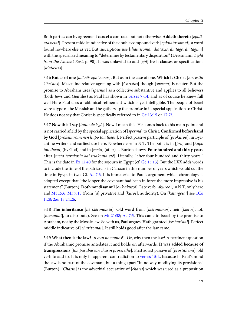Both parties can by agreement cancel a contract, but not otherwise. **Addeth thereto** [epidiatassetai]. Present middle indicative of the double compound verb [epidiatassomai], a word found nowhere else as yet. But inscriptions use [diatassomai, diataxis, diatagē, diatagma] with the specialized meaning to "determine by testamentary disposition" (Deissmann, Light from the Ancient East, p. 90). It was unlawful to add [epi] fresh clauses or specifications [diataxeis].

<span id="page-20-5"></span>3:16 **But as of one** [all' hōs eph' henos]. But as in the case of one. **Which is Christ** [hos estin Christos]. Masculine relative agreeing with [Christos] though [sperma] is neuter. But the promise to Abraham uses [sperma] as a collective substantive and applies to all believers (both Jews and Gentiles) as Paul has shown in [verses 7-14,](http://www.ccel.org/study/Bible:Gal.3.7-Gal.3.14) and as of course he knew full well Here Paul uses a rabbinical refinement which is yet intelligible. The people of Israel were a type of the Messiah and he gathers up the promise in its special application to Christ. He does not say that Christ is specifically referred to in [Ge 13:15](http://www.ccel.org/study/Bible:Gen.13.15) or [17:7f.](http://www.ccel.org/study/Bible:Gal.17.7)

<span id="page-20-4"></span><span id="page-20-1"></span><span id="page-20-0"></span>3:17 **Now this I say** [touto de legō]. Now I mean this. He comes back to his main point and is not carried afield by the special application of [sperma] to Christ. **Confirmed beforehand by God** [prokekurōmenēn hupo tou theou]. Perfect passive participle of [prokuroō], in Byzantine writers and earliest use here. Nowhere else in N.T. The point is in  $[pro]$  and  $[hupo]$ tou theou] (by God) and in [meta] (after) as Burton shows. **Four hundred and thirty years after** [meta tetrakosia kai triakonta etē]. Literally, "after four hundred and thirty years." This is the date in [Ex 12:40](http://www.ccel.org/study/Bible:Exod.12.40) for the sojourn in Egypt (cf. [Ge 15:13\)](http://www.ccel.org/study/Bible:Gen.15.13). But the LXX adds words to include the time of the patriarchs in Canaan in this number of years which would cut the time in Egypt in two. Cf. [Ac 7:6.](http://www.ccel.org/study/Bible:Acts.7.6) It is immaterial to Paul's argument which chronology is adopted except that "the longer the covenant had been in force the more impressive is his statement" (Burton). **Doth not disannul** [ouk akuroi]. Late verb [akuroō], in N.T. only here and [Mt 15:6;](http://www.ccel.org/study/Bible:Matt.15.6) [Mr 7:13](http://www.ccel.org/study/Bible:Mark.7.13) (from [a] privative and [kuros], authority). On [katargēsai] see [1Co](http://www.ccel.org/study/Bible:1Cor.1.28 Bible:1Cor.2.6 Bible:1Cor.15.24 Bible:1Cor.15.26) [1:28; 2:6; 15:24,26](http://www.ccel.org/study/Bible:1Cor.1.28 Bible:1Cor.2.6 Bible:1Cor.15.24 Bible:1Cor.15.26).

<span id="page-20-3"></span><span id="page-20-2"></span>3:18 **The inheritance** [hē klēronomia]. Old word from [klēronomos], heir [kleros], lot, [nemomai], to distribute). See on [Mt 21:38](http://www.ccel.org/study/Bible:Matt.21.38); [Ac 7:5.](http://www.ccel.org/study/Bible:Acts.7.5) This came to Israel by the promise to Abraham, not by the Mosaic law. So with us, Paul argues. **Hath granted** [kecharistai]. Perfect middle indicative of [charizomai]. It still holds good after the law came.

<span id="page-20-6"></span>3:19 **What then is the law?** [ti oun ho nomos?]. Or, why then the law? A pertinent question if the Abrahamic promise antedates it and holds on afterwards. **It was added because of transgressions** [tōn parabaseōn charin prosetethē]. First aorist passive of [prostithēmi], old verb to add to. It is only in apparent contradiction to [verses 15ff.](http://www.ccel.org/study/Bible:Gal.3.15), because in Paul's mind the law is no part of the covenant, but a thing apart "in no way modifying its provisions" (Burton). [*Charin*] is the adverbial accusative of [*charis*] which was used as a preposition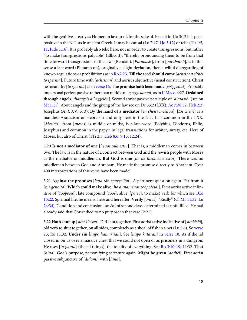<span id="page-21-13"></span><span id="page-21-12"></span><span id="page-21-11"></span><span id="page-21-9"></span><span id="page-21-4"></span><span id="page-21-3"></span>with the genitive as early as Homer, in favour of, for the sake of. Except in [1Jo 3:12](http://www.ccel.org/study/Bible:1John.3.12) it is postpositive in the N.T. as in ancient Greek. It may be causal ([Lu 7:47;](http://www.ccel.org/study/Bible:Luke.7.47) [1Jo 3:12\)](http://www.ccel.org/study/Bible:1John.3.12) or telic [\(Tit 1:5,](http://www.ccel.org/study/Bible:Titus.1.5 Bible:Titus.1.11) [11;](http://www.ccel.org/study/Bible:Titus.1.5 Bible:Titus.1.11) [Jude 1:16\)](http://www.ccel.org/study/Bible:Jude.1.16). It is probably also telic here, not in order to create transgressions, but rather "to make transgressions palpable" (Ellicott), "thereby pronouncing them to be from that time forward transgressions of the law" (Rendall). [*Parabasis*], from [*parabainō*], is in this sense a late word (Plutarch on), originally a slight deviation, then a wilful disregarding of known regulations or prohibitions as in [Ro 2:23.](http://www.ccel.org/study/Bible:Rom.2.23) **Till the seed should come** [achris an elthēi to sperma]. Future time with  $[achris an]$  and aorist subjunctive (usual construction). Christ he means by [to sperma] as in [verse 16](http://www.ccel.org/study/Bible:Gal.3.16). **The promise hath been made** [epēggeltai]. Probably impersonal perfect passive rather than middle of [epaggellomai] as in [II Macc. 4:27](http://www.ccel.org/study/Bible:2Macc.4.27). **Ordained through angels** [diatageis di' aggelōn]. Second aorist passive participle of [diatassō] (see on [Mt 11:1\)](http://www.ccel.org/study/Bible:Matt.11.1). About angels and the giving of the law see on [De 33:2](http://www.ccel.org/study/Bible:Deut.33.2) (LXX); [Ac 7:38,52;](http://www.ccel.org/study/Bible:Acts.7.38 Bible:Acts.7.52) [Heb 2:2;](http://www.ccel.org/study/Bible:Heb.2.2) Josephus (Ant. XV. 5. 3). **By the hand of a mediator** [en cheiri mesitou]. [En cheiri] is a manifest Aramaism or Hebraism and only here in the N.T. It is common in the LXX. [Mesitēs], from [mesos] is middle or midst, is a late word (Polybius, Diodorus, Philo, Josephus) and common in the papyri in legal transactions for arbiter, surety, etc. Here of Moses, but also of Christ ([1Ti 2:5](http://www.ccel.org/study/Bible:1Tim.2.5); [Heb 8:6; 9:15; 12:24](http://www.ccel.org/study/Bible:Heb.8.6 Bible:Heb.9.15 Bible:Heb.12.24)).

<span id="page-21-10"></span><span id="page-21-0"></span>3:20 **Is not a mediator of one** [henos ouk estin]. That is, a middleman comes in between two. The law is in the nature of a contract between God and the Jewish people with Moses as the mediator or middleman. **But God is one** [ho de theos heis estin]. There was no middleman between God and Abraham. He made the promise directly to Abraham. Over 400 interpretations of this verse have been made!

<span id="page-21-8"></span><span id="page-21-7"></span><span id="page-21-1"></span>3:21 **Against the promises** [kata tōn epaggeliōn]. A pertinent question again. Far from it [mē genoito]. **Which could make alive** [ho dunamenos zōopoiēsai]. First aorist active infinitive of [zōopoieō], late compound [zōos], alive, [poieō], to make) verb for which see [1Co](http://www.ccel.org/study/Bible:1Cor.15.22) [15:22.](http://www.ccel.org/study/Bible:1Cor.15.22) Spiritual life, he means, here and hereafter. **Verily** [ontōs]. "Really" (cf. [Mr 11:32](http://www.ccel.org/study/Bible:Mark.11.32); [Lu](http://www.ccel.org/study/Bible:Luke.24.34) [24:34\)](http://www.ccel.org/study/Bible:Luke.24.34). Condition and conclusion [an  $\bar{e}n$ ] of second class, determined as unfulfilled. He had already said that Christ died to no purpose in that case [\(2:21](http://www.ccel.org/study/Bible:Gal.2.21)).

<span id="page-21-6"></span><span id="page-21-5"></span><span id="page-21-2"></span>3:22 **Hath shut up** [sunekleisen]. Did shut together. First aorist active indicative of [sunkleiō], old verb to shut together, on all sides, completely as a shoal of fish in a net ( $\text{Lu}$  5:6). So [verse](http://www.ccel.org/study/Bible:Gal.3.23) [23;](http://www.ccel.org/study/Bible:Gal.3.23) [Ro 11:32](http://www.ccel.org/study/Bible:Rom.11.32). **Under sin** [hupo hamartian]. See [hupo kataran] in [verse 10](http://www.ccel.org/study/Bible:Gal.3.10). As if the lid closed in on us over a massive chest that we could not open or as prisoners in a dungeon. He uses [ta panta] (the all things), the totality of everything. See [Ro 3:10-19; 11:32](http://www.ccel.org/study/Bible:Rom.3.10-Rom.3.19 Bible:Rom.11.32). **That** [hina]. God's purpose, personifying scripture again. **Might be given** [dothēi]. First aorist passive subjunctive of [didōmi] with [hina].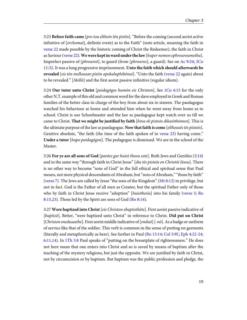<span id="page-22-9"></span><span id="page-22-8"></span><span id="page-22-1"></span>3:23 **Before faith came** [pro tou elthein tēn pistin]. "Before the coming (second aorist active infinitive of [erchomai], definite event) as to the Faith" (note article, meaning the faith in [verse 22](http://www.ccel.org/study/Bible:Gal.3.22) made possible by the historic coming of Christ the Redeemer), the faith in Christ as Saviour ([verse 22\)](http://www.ccel.org/study/Bible:Gal.3.22). **We were kept in ward under the law**[huper nomon ephrouroumetha]. Imperfect passive of [phroureō], to guard (from [phrouros], a guard). See on [Ac 9:24](http://www.ccel.org/study/Bible:Acts.9.24); [2Co](http://www.ccel.org/study/Bible:2Cor.11.32) [11:32.](http://www.ccel.org/study/Bible:2Cor.11.32) It was a long progressive imprisonment. **Unto the faith which should afterwards be revealed** [eis tēn mellousan pistin apokaluphthēnai]. "Unto the faith ([verse 22](http://www.ccel.org/study/Bible:Gal.3.22) again) about to be revealed." [Mellō] and the first aorist passive infinitive (regular idiom).

<span id="page-22-10"></span><span id="page-22-7"></span><span id="page-22-5"></span>3:24 **Our tutor unto Christ** [paidagōgos humōn eis Christon]. See [1Co 4:15](http://www.ccel.org/study/Bible:1Cor.4.15) for the only other N.T. example of this old and common word for the slave employed in Greek and Roman families of the better class in charge of the boy from about six to sixteen. The paedagogue watched his behaviour at home and attended him when he went away from home as to school. Christ is our Schoolmaster and the law as paedagogue kept watch over us till we came to Christ. **That we might be justified by faith** [hina ek pisteōs dikaiōthōmen]. This is the ultimate purpose of the law as paedagogue. **Now that faith is come** [elthousēs tēs pisteōs]. Genitive absolute, "the faith (the time of the faith spoken of in [verse 23](http://www.ccel.org/study/Bible:Gal.3.23)) having come." **Under a tutor** [hupo paidagōgon]. The pedagogue is dismissed. We are in the school of the Master.

<span id="page-22-6"></span><span id="page-22-3"></span><span id="page-22-2"></span><span id="page-22-0"></span>3:26 **For ye are all sons of God** [pantes gar huioi theou este]. Both Jews and Gentiles ([3:14](http://www.ccel.org/study/Bible:Gal.3.14)) and in the same way "through faith in Christ Jesus" [dia tēs pisteōs en Christōi Iēsou]. There is no other way to become "sons of God" in the full ethical and spiritual sense that Paul means, not mere physical descendants of Abraham, but "sons of Abraham," "those by faith" ([verse 7\)](http://www.ccel.org/study/Bible:Gal.3.7). The Jews are called by Jesus "the sons of the Kingdom" [\(Mt 8:12](http://www.ccel.org/study/Bible:Matt.8.12)) in privilege, but not in fact. God is the Father of all men as Creator, but the spiritual Father only of those who by faith in Christ Jesus receive "adoption" [huiothesia] into his family [\(verse 5;](http://www.ccel.org/study/Bible:Gal.3.5) [Ro](http://www.ccel.org/study/Bible:Rom.8.15 Bible:Rom.8.23) [8:15,23](http://www.ccel.org/study/Bible:Rom.8.15 Bible:Rom.8.23)). Those led by the Spirit are sons of God [\(Ro 8:14](http://www.ccel.org/study/Bible:Rom.8.14)).

<span id="page-22-11"></span><span id="page-22-4"></span>3:27 **Were baptized into Christ** [eis Christon ebaptisthēte]. First aorist passive indicative of [baptizō]. Better, "were baptized unto Christ" in reference to Christ. **Did put on Christ** [Christon enedusasthe]. First aorist middle indicative of  $[endu\overline{o}]$  [-n $\overline{o}$ ]. As a badge or uniform of service like that of the soldier. This verb is common in the sense of putting on garments (literally and metaphorically as here). See further in Paul ([Ro 13:14](http://www.ccel.org/study/Bible:Rom.13.14); [Col 3:9f.](http://www.ccel.org/study/Bible:Col.3.9); [Eph 4:22-24;](http://www.ccel.org/study/Bible:Eph.4.22-Eph.4.24 Bible:Eph.6.11 Bible:Eph.6.14) [6:11,14](http://www.ccel.org/study/Bible:Eph.4.22-Eph.4.24 Bible:Eph.6.11 Bible:Eph.6.14)). In [1Th 5:8](http://www.ccel.org/study/Bible:1Thess.5.8) Paul speaks of "putting on the breastplate of righteousness." He does not here mean that one enters into Christ and so is saved by means of baptism after the teaching of the mystery religions, but just the opposite. We are justified by faith in Christ, not by circumcision or by baptism. But baptism was the public profession and pledge, the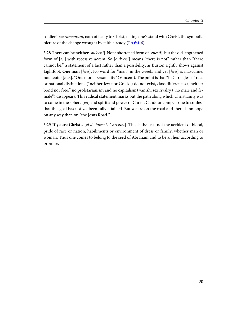<span id="page-23-0"></span>soldier's sacramentum, oath of fealty to Christ, taking one's stand with Christ, the symbolic picture of the change wrought by faith already ([Ro 6:4-6\)](http://www.ccel.org/study/Bible:Rom.6.4-Rom.6.6).

3:28 **There can be neither** [ouk eni]. Not a shortened form of [enesti], but the old lengthened form of [en] with recessive accent. So [ouk eni] means "there is not" rather than "there cannot be," a statement of a fact rather than a possibility, as Burton rightly shows against Lightfoot. **One man** [heis]. No word for "man" in the Greek, and yet [heis] is masculine, not neuter [hen]. "One moral personality" (Vincent). The point is that "in Christ Jesus" race or national distinctions ("neither Jew nor Greek") do not exist, class differences ("neither bond nor free," no proletarianism and no capitalism) vanish, sex rivalry ("no male and female") disappears. This radical statement marks out the path along which Christianity was to come in the sphere [en] and spirit and power of Christ. Candour compels one to confess that this goal has not yet been fully attained. But we are on the road and there is no hope on any way than on "the Jesus Road."

3:29 **If ye are Christ's** [ei de humeis Christou]. This is the test, not the accident of blood, pride of race or nation, habiliments or environment of dress or family, whether man or woman. Thus one comes to belong to the seed of Abraham and to be an heir according to promise.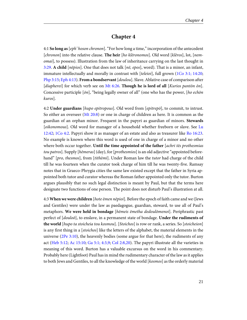#### **Chapter 4**

<span id="page-24-8"></span><span id="page-24-7"></span><span id="page-24-6"></span><span id="page-24-1"></span><span id="page-24-0"></span>4:1 **So long as**[eph' hoson chronon]. "For how long a time," incorporation of the antecedent [chronon] into the relative clause. **The heir** [ho klēronomos]. Old word [klēros], lot, [nemomai], to possess). Illustration from the law of inheritance carrying on the last thought in [3:29](http://www.ccel.org/study/Bible:Gal.3.29). **A child** [*nēpios*]. One that does not talk [*nē*, *epos*], word). That is a minor, an infant, immature intellectually and morally in contrast with [teleioi], full grown ([1Co 3:1; 14:20;](http://www.ccel.org/study/Bible:1Cor.3.1 Bible:1Cor.14.20) [Php 3:15](http://www.ccel.org/study/Bible:Phil.3.15); [Eph 4:13\)](http://www.ccel.org/study/Bible:Eph.4.13). **From a bondservant** [doulou]. Slave. Ablative case of comparison after [diapherei] for which verb see on [Mt 6:26.](http://www.ccel.org/study/Bible:Matt.6.26) **Though he is lord of all** [Kurios pantōn ōn]. Concessive participle  $[\delta n]$ , "being legally owner of all" (one who has the power, [ho echōn] kuros].

<span id="page-24-5"></span><span id="page-24-3"></span><span id="page-24-2"></span>4:2 **Under guardians** [hupo epitropous]. Old word from [epitrepō], to commit, to intrust. So either an overseer [\(Mt 20:8\)](http://www.ccel.org/study/Bible:Matt.20.8) or one in charge of children as here. It is common as the guardian of an orphan minor. Frequent in the papyri as guardian of minors. **Stewards** [oikonomous]. Old word for manager of a household whether freeborn or slave. See [Lu](http://www.ccel.org/study/Bible:Luke.12.42) [12:42;](http://www.ccel.org/study/Bible:Luke.12.42) [1Co 4:2](http://www.ccel.org/study/Bible:1Cor.4.2). Papyri show it as manager of an estate and also as treasurer like [Ro 16:23.](http://www.ccel.org/study/Bible:Rom.16.23) No example is known where this word is used of one in charge of a minor and no other where both occur together. **Until the time appointed of the father** [achri tēs prothesmias tou patros]. Supply [hēmeras] (day), for [prothesmios] is an old adjective "appointed beforehand" [pro, thesmos], from [tithēmi]. Under Roman law the tutor had charge of the child till he was fourteen when the curator took charge of him till he was twenty-five. Ramsay notes that in Graeco-Phrygia cities the same law existed except that the father in Syria appointed both tutor and curator whereas the Roman father appointed only the tutor. Burton argues plausibly that no such legal distinction is meant by Paul, but that the terms here designate two functions of one person. The point does not disturb Paul's illustration at all.

<span id="page-24-9"></span><span id="page-24-4"></span>4:3 **When we were children** [hote ēmen nēpioi]. Before the epoch of faith came and we (Jews and Gentiles) were under the law as paedagogue, guardian, steward, to use all of Paul's metaphors. **We were held in bondage** [hēmeis ēmetha dedoulōmenoi]. Periphrastic past perfect of [douloō], to enslave, in a permanent state of bondage. **Under the rudiments of the world** [hupo ta stoicheia tou kosmou]. [Stoichos] is row or rank, a series. So [stoicheion] is any first thing in a [stoichos] like the letters of the alphabet, the material elements in the universe [\(2Pe 3:10](http://www.ccel.org/study/Bible:2Pet.3.10)), the heavenly bodies (some argue for that here), the rudiments of any act ([Heb 5:12;](http://www.ccel.org/study/Bible:Heb.5.12) [Ac 15:10;](http://www.ccel.org/study/Bible:Acts.15.10) [Ga 5:1; 4:3,9](http://www.ccel.org/study/Bible:Gal.5.1 Bible:Gal.4.3 Bible:Gal.4.9); [Col 2:8,20\)](http://www.ccel.org/study/Bible:Col.2.8 Bible:Col.2.20). The papyri illustrate all the varieties in meaning of this word. Burton has a valuable excursus on the word in his commentary. Probably here (Lightfoot) Paul has in mind the rudimentary character of the law as it applies to both Jews and Gentiles, to all the knowledge of the world [kosmos] as the orderly material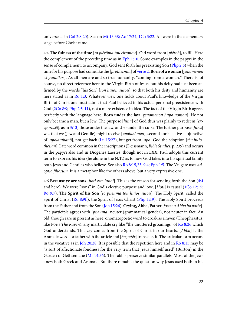<span id="page-25-0"></span>universe as in [Col 2:8,20](http://www.ccel.org/study/Bible:Col.2.8 Bible:Col.2.20)). See on [Mt 13:38; Ac 17:24](http://www.ccel.org/study/Bible:Matt.13.38 Bible:Acts.17.24); [1Co 3:22](http://www.ccel.org/study/Bible:1Cor.3.22). All were in the elementary stage before Christ came.

<span id="page-25-16"></span><span id="page-25-15"></span><span id="page-25-13"></span><span id="page-25-12"></span><span id="page-25-11"></span><span id="page-25-5"></span>4:4 **The fulness of the time** [to plērōma tou chronou]. Old word from [plēroō], to fill. Here the complement of the preceding time as in [Eph 1:10.](http://www.ccel.org/study/Bible:Eph.1.10) Some examples in the papyri in the sense of complement, to accompany. God sent forth his preexisting Son [\(Php 2:6](http://www.ccel.org/study/Bible:Phil.2.6)) when the time for his purpose had come like the [prothesmia] of [verse 2.](http://www.ccel.org/study/Bible:Gal.4.2) **Born of a woman** [genomenon ek gunaikos]. As all men are and so true humanity, "coming from a woman." There is, of course, no direct reference here to the Virgin Birth of Jesus, but his deity had just been affirmed by the words "his Son" [ton huion autou], so that both his deity and humanity are here stated as in [Ro 1:3](http://www.ccel.org/study/Bible:Rom.1.3). Whatever view one holds about Paul's knowledge of the Virgin Birth of Christ one must admit that Paul believed in his actual personal preexistence with God [\(2Co 8:9](http://www.ccel.org/study/Bible:2Cor.8.9); [Php 2:5-11\)](http://www.ccel.org/study/Bible:Phil.2.5-Phil.2.11), not a mere existence in idea. The fact of the Virgin Birth agrees perfectly with the language here. **Born under the law** [genomenon hupo nomon]. He not only became a man, but a Jew. The purpose [hina] of God thus was plainly to redeem [ex $aqorasëi$ ], as in [3:13](http://www.ccel.org/study/Bible:Gal.3.13)) those under the law, and so under the curse. The further purpose [hina] was that we (Jew and Gentile) might receive [apolabomen], second aorist active subjunctive of [apolambanō], not get back ([Lu 15:27\)](http://www.ccel.org/study/Bible:Luke.15.27), but get from [apo] God the adoption [tēn huiothesian]. Late word common in the inscriptions (Deissmann, Bible Studies, p. 239) and occurs in the papyri also and in Diogenes Laertes, though not in LXX. Paul adopts this current term to express his idea (he alone in the N.T.) as to how God takes into his spiritual family both Jews and Gentiles who believe. See also [Ro 8:15,23; 9:4;](http://www.ccel.org/study/Bible:Rom.8.15 Bible:Rom.8.23 Bible:Rom.9.4) [Eph 1:5.](http://www.ccel.org/study/Bible:Eph.1.5) The Vulgate uses adoptio filiorum. It is a metaphor like the others above, but a very expressive one.

<span id="page-25-14"></span><span id="page-25-10"></span><span id="page-25-9"></span><span id="page-25-8"></span><span id="page-25-7"></span><span id="page-25-6"></span><span id="page-25-4"></span><span id="page-25-3"></span><span id="page-25-2"></span><span id="page-25-1"></span>4:6 **Because ye are sons** [hoti este huioi]. This is the reason for sending forth the Son ([4:4](http://www.ccel.org/study/Bible:Gal.4.4) and here). We were "sons" in God's elective purpose and love. [Hoti] is causal [\(1Co 12:15;](http://www.ccel.org/study/Bible:1Cor.12.15) [Ro 9:7](http://www.ccel.org/study/Bible:Rom.9.7)). **The Spirit of his Son** [to pneuma tou huioi autou]. The Holy Spirit, called the Spirit of Christ [\(Ro 8:9f.\)](http://www.ccel.org/study/Bible:Rom.8.9), the Spirit of Jesus Christ ([Php 1:19](http://www.ccel.org/study/Bible:Phil.1.19)). The Holy Spirit proceeds from the Father and from the Son [\(Joh 15:26\)](http://www.ccel.org/study/Bible:John.15.26). **Crying, Abba, Father** [krazon Abba ho patēr]. The participle agrees with [pneuma] neuter (grammatical gender), not neuter in fact. An old, though rare in present as here, onomatopoetic word to croak as a raven (Theophrastus, like Poe's The Raven), any inarticulate cry like "the unuttered groanings" of [Ro 8:26](http://www.ccel.org/study/Bible:Rom.8.26) which God understands. This cry comes from the Spirit of Christ in our hearts. [Abba] is the Aramaic word for father with the article and [ho pater] translates it. The articular form occurs in the vocative as in [Joh 20:28](http://www.ccel.org/study/Bible:John.20.28). It is possible that the repetition here and in [Ro 8:15](http://www.ccel.org/study/Bible:Rom.8.15) may be "a sort of affectionate fondness for the very term that Jesus himself used" (Burton) in the Garden of Gethsemane ([Mr 14:36](http://www.ccel.org/study/Bible:Mark.14.36)). The rabbis preserve similar parallels. Most of the Jews knew both Greek and Aramaic. But there remains the question why Jesus used both in his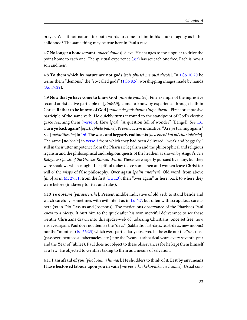prayer. Was it not natural for both words to come to him in his hour of agony as in his childhood? The same thing may be true here in Paul's case.

<span id="page-26-8"></span>4:7 **No longer a bondservant** [ouketi doulos]. Slave. He changes to the singular to drive the point home to each one. The spiritual experience ([3:2\)](http://www.ccel.org/study/Bible:Gal.3.2) has set each one free. Each is now a son and heir.

<span id="page-26-5"></span><span id="page-26-4"></span><span id="page-26-3"></span>4:8 **To them which by nature are not gods** [tois phusei mē ousi theois]. In [1Co 10:20](http://www.ccel.org/study/Bible:1Cor.10.20) he terms them "demons," the "so-called gods" ( $1Co 8:5$ ), worshipping images made by hands ([Ac 17:29](http://www.ccel.org/study/Bible:Acts.17.29)).

<span id="page-26-9"></span><span id="page-26-7"></span><span id="page-26-6"></span>4:9 **Now that ye have come to know God** [nun de gnontes]. Fine example of the ingressive second aorist active participle of  $[gin\bar{o}s\bar{k}\bar{o}]$ , come to know by experience through faith in Christ. **Rather to be known of God** [mallon de gnōsthentes hupo theou]. First aorist passive participle of the same verb. He quickly turns it round to the standpoint of God's elective grace reaching them [\(verse 6](http://www.ccel.org/study/Bible:Gal.4.6)). **How** [pōs]. "A question full of wonder" (Bengel). See [1:6.](http://www.ccel.org/study/Bible:Gal.1.6) **Turn ye back again?**[epistrephete palin?]. Present active indicative, "Are ye turning again?" See [metatithesthe] in [1:6](http://www.ccel.org/study/Bible:Gal.1.6). **The weak and beggarly rudiments**[ta asthenē kai ptōcha stoicheia]. The same *[stoicheia]* in [verse 3](http://www.ccel.org/study/Bible:Gal.4.3) from which they had been delivered, "weak and beggarly," still in their utter impotence from the Pharisaic legalism and the philosophical and religious legalism and the philosophical and religious quests of the heathen as shown by Angus's The Religious Quests of the Graeco-Roman World. These were eagerly pursued by many, but they were shadows when caught. It is pitiful today to see some men and women leave Christ for will o' the wisps of false philosophy. **Over again** [palin anōthen]. Old word, from above [ $a n \bar{\sigma}$ ] as in [Mt 27:51](http://www.ccel.org/study/Bible:Matt.27.51), from the first [\(Lu 1:3\)](http://www.ccel.org/study/Bible:Luke.1.3), then "over again" as here, back to where they were before (in slavery to rites and rules).

<span id="page-26-2"></span><span id="page-26-1"></span><span id="page-26-0"></span>4:10 **Ye observe** [paratēreisthe]. Present middle indicative of old verb to stand beside and watch carefully, sometimes with evil intent as in [Lu 6:7,](http://www.ccel.org/study/Bible:Luke.6.7) but often with scrupulous care as here (so in Dio Cassius and Josephus). The meticulous observance of the Pharisees Paul knew to a nicety. It hurt him to the quick after his own merciful deliverance to see these Gentile Christians drawn into this spider-web of Judaizing Christians, once set free, now enslaved again. Paul does not itemize the "days" (Sabbaths, fast-days, feast-days, new moons) nor the "months" ([Isa 66:23\)](http://www.ccel.org/study/Bible:Isa.66.23) which were particularly observed in the exile nor the "seasons" (passover, pentecost, tabernacles, etc.) nor the "years" (sabbatical years every seventh year and the Year of Jubilee). Paul does not object to these observances for he kept them himself as a Jew. He objected to Gentiles taking to them as a means of salvation.

4:11 **I am afraid of you** [phoboumai humas]. He shudders to think of it. **Lest by any means I have bestowed labour upon you in vain** [mē pōs eikēi kekopiaka eis humas]. Usual con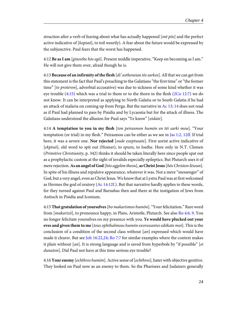struction after a verb of fearing about what has actually happened  $[m\bar{e}\ p\bar{o}s]$  and the perfect active indicative of [kopiaō], to toil wearily). A fear about the future would be expressed by the subjunctive. Paul fears that the worst has happened.

4:12 **Be as I am** [ginesthe hōs egō]. Present middle imperative, "Keep on becoming as I am." He will not give them over, afraid though he is.

<span id="page-27-4"></span><span id="page-27-1"></span>4:13 **Because of an infirmity of the flesh** [di' astheneian tēs sarkos]. All that we can get from this statement is the fact that Paul's preaching to the Galatians "the first time" or "the former time" [to proteron], adverbial accusative) was due to sickness of some kind whether it was eye trouble [\(4:15](http://www.ccel.org/study/Bible:Gal.4.15)) which was a trial to them or to the thorn in the flesh [\(2Co 12:7\)](http://www.ccel.org/study/Bible:2Cor.12.7) we do not know. It can be interpreted as applying to North Galatia or to South Galatia if he had an attack of malaria on coming up from Perga. But the narrative in [Ac 13; 14](http://www.ccel.org/study/Bible:Acts.13 Bible:Acts.14) does not read as if Paul had planned to pass by Pisidia and by Lycaonia but for the attack of illness. The Galatians understood the allusion for Paul says "Ye know" [oidate].

<span id="page-27-5"></span><span id="page-27-2"></span>4:14 **A temptation to you in my flesh** [ton peirasmon humōn en tēi sarki mou]. "Your temptation (or trial) in my flesh." Peirasmon can be either as we see in [Jas 1:2, 12ff.](http://www.ccel.org/study/Bible:Jas.1.2 Bible:Jas.1.12) If trial here, it was a severe one. **Nor rejected** [oude exeptusate]. First aorist active indicative of [ekptuō], old word to spit out (Homer), to spurn, to loathe. Here only in N.T. Clemen (Primitive Christianity, p. 342) thinks it should be taken literally here since people spat out as a prophylactic custom at the sight of invalids especially epileptics. But Plutarch uses it of mere rejection. **As an angel of God** [hōs aggelon theou], **as Christ Jesus**[hōs Christon Iēsoun]. In spite of his illness and repulsive appearance, whatever it was. Not a mere "messenger" of God, but a very angel, even as Christ Jesus. We know that at Lystra Paul was at first welcomed as Hermes the god of oratory (Ac  $14:12f$ .). But that narrative hardly applies to these words, for they turned against Paul and Barnabas then and there at the instigation of Jews from Antioch in Pisidia and Iconium.

<span id="page-27-3"></span><span id="page-27-0"></span>4:15 **That gratulation of yourselves**[ho makarismos humōn]. "Your felicitation." Rare word from [makarizō], to pronounce happy, in Plato, Aristotle, Plutarch. See also [Ro 4:6, 9.](http://www.ccel.org/study/Bible:Rom.4.6 Bible:Rom.4.9) You no longer felicitate yourselves on my presence with you. **Ye would have plucked out your eves and given them to me** [tous ophthalmous humōn exoruxantes edōkate moi]. This is the conclusion of a condition of the second class without [an] expressed which would have made it clearer. But see [Joh 16:22,24;](http://www.ccel.org/study/Bible:John.16.22 Bible:John.16.24) [Ro 7:7](http://www.ccel.org/study/Bible:Rom.7.7) for similar examples where the context makes it plain without  $[an]$ . It is strong language and is saved from hyperbole by "if possible" [*ei* dunaton]. Did Paul not have at this time serious eye trouble?

4:16 **Your enemy** [echthros humōn]. Active sense of [echthros], hater with objective genitive. They looked on Paul now as an enemy to them. So the Pharisees and Judaizers generally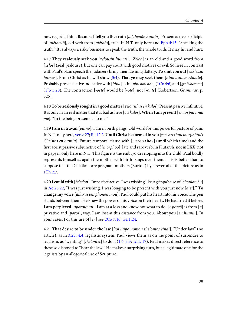<span id="page-28-7"></span>now regarded him. **Because I tell you the truth** [alētheuōn humin]. Present active participle of [ $al\bar{e}$ theu $\bar{o}$ ], old verb from [ $al\bar{e}$ the $\bar{o}$ s], true. In N.T. only here and [Eph 4:15.](http://www.ccel.org/study/Bible:Eph.4.15) "Speaking the truth." It is always a risky business to speak the truth, the whole truth. It may hit and hurt.

<span id="page-28-9"></span><span id="page-28-6"></span><span id="page-28-1"></span>4:17 **They zealously seek you** [zēlousin humas]. [Zēloō] is an old and a good word from [zēlos] (zeal, jealousy), but one can pay court with good motives or evil. So here in contrast with Paul's plain speech the Judaizers bring their fawning flattery. **To shut you out** [ekkleisai humas]. From Christ as he will show ([5:4\)](http://www.ccel.org/study/Bible:Gal.5.4). **That ye may seek them** [hina autous zēloute]. Probably present active indicative with [hina] as in [phusiousthe] [\(1Co 4:6\)](http://www.ccel.org/study/Bible:1Cor.4.6) and [ginōskomen] ([1Jo 5:20\)](http://www.ccel.org/study/Bible:1John.5.20). The contraction  $[-o\bar{\varepsilon}te]$  would be  $[-\bar{o}te]$ , not  $[-oute]$  (Robertson, *Grammar*, p. 325).

4:18 **To be zealously sought in a good matter** [zēlousthai en kalōi]. Present passive infinitive. It is only in an evil matter that it is bad as here [ou kalos]. **When I am present**[en tōi pareinai me]. "In the being present as to me."

<span id="page-28-8"></span><span id="page-28-5"></span>4:19 **I am in travail** [ōdinō]. I am in birth pangs. Old word for this powerful picture of pain. In N.T. only here, [verse 27](http://www.ccel.org/study/Bible:Gal.4.27); [Re 12:2.](http://www.ccel.org/study/Bible:Rev.12.2) **Until Christ be formed in you** [mechris hou morphōthēi Christos en humin]. Future temporal clause with [mechris hou] (until which time) and the first aorist passive subjunctive of  $[morpho\bar{o}]$ , late and rare verb, in Plutarch, not in LXX, not in papyri, only here in N.T. This figure is the embryo developing into the child. Paul boldly represents himself as again the mother with birth pangs over them. This is better than to suppose that the Galatians are pregnant mothers (Burton) by a reversal of the picture as in [1Th 2:7.](http://www.ccel.org/study/Bible:1Thess.2.7)

<span id="page-28-2"></span><span id="page-28-0"></span>4:20 **I could with** [ēthelon]. Imperfect active, I was wishing like Agrippa's use of [eboulomēn] in [Ac 25:22](http://www.ccel.org/study/Bible:Acts.25.22), "I was just wishing. I was longing to be present with you just now [arti]." **To change my voice** [allaxai tēn phōnēn mou]. Paul could put his heart into his voice. The pen stands between them. He knew the power of his voice on their hearts. He had tried it before. **I am perplexed** [aporoumai]. I am at a loss and know not what to do. [Aporeō] is from [a] privative and [poros], way. I am lost at this distance from you. **About you** [en humin]. In your cases. For this use of [en] see [2Co 7:16;](http://www.ccel.org/study/Bible:2Cor.7.16) [Ga 1:24](http://www.ccel.org/study/Bible:Gal.1.24).

<span id="page-28-4"></span><span id="page-28-3"></span>4:21 **That desire to be under the law** [hoi hupo nomon thelontes einai]. "Under law" (no article), as in [3:23](http://www.ccel.org/study/Bible:Gal.3.23); [4:4](http://www.ccel.org/study/Bible:Gal.4.4), legalistic system. Paul views them as on the point of surrender to legalism, as "wanting" [thelontes] to do it  $(1:6; 3:3; 4:11, 17)$  $(1:6; 3:3; 4:11, 17)$  $(1:6; 3:3; 4:11, 17)$  $(1:6; 3:3; 4:11, 17)$  $(1:6; 3:3; 4:11, 17)$  $(1:6; 3:3; 4:11, 17)$ . Paul makes direct reference to these so disposed to "hear the law." He makes a surprising turn, but a legitimate one for the legalists by an allegorical use of Scripture.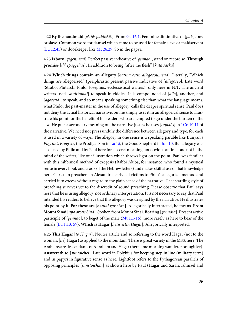<span id="page-29-2"></span><span id="page-29-0"></span>4:22 **By the handmaid** [ek tēs paidiskēs]. From [Ge 16:1.](http://www.ccel.org/study/Bible:Gen.16.1) Feminine diminutive of [pais], boy or slave. Common word for damsel which came to be used for female slave or maidservant ([Lu 12:45\)](http://www.ccel.org/study/Bible:Luke.12.45) or doorkeeper like [Mt 26:29.](http://www.ccel.org/study/Bible:Matt.26.29) So in the papyri.

4:23 **Is born** [gegennētai]. Perfect passive indicative of [gennaō], stand on record so. **Through promise** [di' epaggelias]. In addition to being "after the flesh" [kata sarka].

<span id="page-29-5"></span><span id="page-29-4"></span>4:24 **Which things contain an allegory** [hatina estin allēgoroumena]. Literally, "Which things are allegorized" (periphrastic present passive indicative of [allēgoreō]. Late word (Strabo, Plutarch, Philo, Josephus, ecclesiastical writers), only here in N.T. The ancient writers used [ainittomai] to speak in riddles. It is compounded of [allo], another, and [agoreuō], to speak, and so means speaking something else than what the language means, what Philo, the past-master in the use of allegory, calls the deeper spiritual sense. Paul does not deny the actual historical narrative, but he simply uses it in an allegorical sense to illustrate his point for the benefit of his readers who are tempted to go under the burden of the law. He puts a secondary meaning on the narrative just as he uses  $[tupik\delta s]$  in [1Co 10:11](http://www.ccel.org/study/Bible:1Cor.10.11) of the narrative. We need not press unduly the difference between allegory and type, for each is used in a variety of ways. The allegory in one sense is a speaking parable like Bunyan's Pilgrim's Progress, the Prodigal Son in [Lu 15](http://www.ccel.org/study/Bible:Luke.15.1-Luke.15.32), the Good Shepherd in [Joh 10](http://www.ccel.org/study/Bible:John.10.1-John.10.42). But allegory was also used by Philo and by Paul here for a secret meaning not obvious at first, one not in the mind of the writer, like our illustration which throws light on the point. Paul was familiar with this rabbinical method of exegesis (Rabbi Akiba, for instance, who found a mystical sense in every hook and crook of the Hebrew letters) and makes skilful use of that knowledge here. Christian preachers in Alexandria early fell victims to Philo's allegorical method and carried it to excess without regard to the plain sense of the narrative. That startling style of preaching survives yet to the discredit of sound preaching. Please observe that Paul says here that he is using allegory, not ordinary interpretation. It is not necessary to say that Paul intended his readers to believe that this allegory was designed by the narrative. He illustrates his point by it. **For these are** [hautai gar eisin]. Allegorically interpreted, he means. **From Mount Sinai**[apo orous Sinā]. Spoken from Mount Sinai. **Bearing** [gennōsa]. Present active participle of  $[genna\bar{o}]$ , to beget of the male [\(Mt 1:1-16\)](http://www.ccel.org/study/Bible:Matt.1.1-Matt.1.16), more rarely as here to bear of the female ([Lu 1:13, 57\)](http://www.ccel.org/study/Bible:Luke.1.13 Bible:Luke.1.57). **Which is Hagar** [hētis estin Hagar]. Allegorically interpreted.

<span id="page-29-3"></span><span id="page-29-1"></span>4:25 **This Hagar** [to Hagar]. Neuter article and so referring to the word Hagar (not to the woman,  $[h\bar{e}]$  Hagar) as applied to the mountain. There is great variety in the MSS. here. The Arabians are descendants of Abraham and Hagar (her name meaning wanderer or fugitive). **Answereth to** [suntoichei]. Late word in Polybius for keeping step in line (military term) and in papyri in figurative sense as here. Lightfoot refers to the Pythagorean parallels of opposing principles [sunstoichiai] as shown here by Paul (Hagar and Sarah, Ishmael and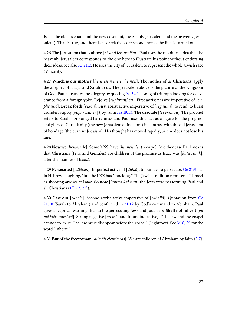Isaac, the old covenant and the new covenant, the earthly Jerusalem and the heavenly Jerusalem). That is true, and there is a correlative correspondence as the line is carried on.

<span id="page-30-8"></span>4:26 **The Jerusalem that is above** [hē anō Ierousalēm]. Paul uses the rabbinical idea that the heavenly Jerusalem corresponds to the one here to illustrate his point without endorsing their ideas. See also [Re 21:2.](http://www.ccel.org/study/Bible:Rev.21.2) He uses the city of Jerusalem to represent the whole Jewish race (Vincent).

<span id="page-30-3"></span><span id="page-30-2"></span>4:27 **Which is our mother** [hētis estin mētēr hēmōn]. The mother of us Christians, apply the allegory of Hagar and Sarah to us. The Jerusalem above is the picture of the Kingdom of God. Paul illustrates the allegory by quoting [Isa 54:1](http://www.ccel.org/study/Bible:Isa.54.1), a song of triumph looking for deliverance from a foreign yoke. **Rejoice** [euphranthēti]. First aorist passive imperative of [euphrainō]. **Break forth** [rēxon]. First aorist active imperative of [rēgnumi], to rend, to burst asunder. Supply [euphrosunēn] (joy) as in [Isa 49:13](http://www.ccel.org/study/Bible:Isa.49.13). **The desolate** [tēs erēmou]. The prophet refers to Sarah's prolonged barrenness and Paul uses this fact as a figure for the progress and glory of Christianity (the new Jerusalem of freedom) in contrast with the old Jerusalem of bondage (the current Judaism). His thought has moved rapidly, but he does not lose his line.

<span id="page-30-0"></span>4:28 **Now we** [hēmeis de]. Some MSS. have [humeis de] (now ye). In either case Paul means that Christians (Jews and Gentiles) are children of the promise as Isaac was [kata Isaak], after the manner of Isaac).

<span id="page-30-7"></span><span id="page-30-6"></span><span id="page-30-1"></span>4:29 **Persecuted** [ediōken]. Imperfect active of [diōkō], to pursue, to persecute. [Ge 21:9](http://www.ccel.org/study/Bible:Gen.21.9) has in Hebrew "laughing," but the LXX has "mocking." The Jewish tradition represents Ishmael as shooting arrows at Isaac. **So now** [houtos kai nun] the Jews were persecuting Paul and all Christians ([1Th 2:15f.](http://www.ccel.org/study/Bible:1Thess.2.15)).

<span id="page-30-5"></span><span id="page-30-4"></span>4:30 **Cast out** [ekbale]. Second aorist active imperative of [ekballō]. Quotation from [Ge](http://www.ccel.org/study/Bible:Gen.21.10) [21:10](http://www.ccel.org/study/Bible:Gen.21.10) (Sarah to Abraham) and confirmed in [21:12](http://www.ccel.org/study/Bible:Gal.21.12) by God's command to Abraham. Paul gives allegorical warning thus to the persecuting Jews and Judaizers. **Shall not inherit** [ou  $m\bar{\varepsilon}$  klēronomēsei]. Strong negative [ou mē] and future indicative). "The law and the gospel cannot co-exist. The law must disappear before the gospel" (Lightfoot). See [3:18, 29](http://www.ccel.org/study/Bible:Gal.3.18 Bible:Gal.3.29) for the word "inherit."

4:31 **But of the freewoman** [alla tēs eleutheras]. We are children of Abraham by faith ([3:7\)](http://www.ccel.org/study/Bible:Gal.3.7).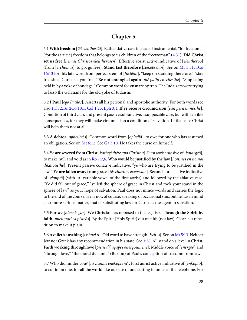## **Chapter 5**

<span id="page-31-7"></span><span id="page-31-3"></span><span id="page-31-0"></span>5:1 **With freedom** [tēi eleutheriāi]. Rather dative case instead of instrumental, "for freedom," "for the (article) freedom that belongs to us children of the freewoman" ([4:31](http://www.ccel.org/study/Bible:Gal.4.31)). **Did Christ set us free** [hēmas Christos ēleutherōsen]. Effective aorist active indicative of [eleutheroō] (from [erchomai], to go, go free). **Stand fast therefore** [stēkete oun]. See on [Mr 3:31](http://www.ccel.org/study/Bible:Mark.3.31); [1Co](http://www.ccel.org/study/Bible:1Cor.16.13) [16:13](http://www.ccel.org/study/Bible:1Cor.16.13) for this late word from perfect stem of [histemi], "keep on standing therefore," "stay free since Christ set you free." **Be not entangled again** [mē palin enechesthe]. "Stop being held in by a yoke of bondage." Common word for ensnare by trap. The Judaizers were trying to lasso the Galatians for the old yoke of Judaism.

<span id="page-31-5"></span>5:2 **I Paul** [egō Paulos]. Asserts all his personal and apostolic authority. For both words see also [1Th 2:16;](http://www.ccel.org/study/Bible:1Thess.2.16) [2Co 10:1; Col 1:23](http://www.ccel.org/study/Bible:2Cor.10.1 Bible:Col.1.23); [Eph 3:1.](http://www.ccel.org/study/Bible:Eph.3.1) **If ye receive circumcision** [ean peritemnēsthe]. Condition of third class and present passive subjunctive, a supposable case, but with terrible consequences, for they will make circumcision a condition of salvation. In that case Christ will help them not at all.

<span id="page-31-4"></span><span id="page-31-2"></span>5:3 **A debtor** [opheiletēs]. Common word from [opheilō], to owe for one who has assumed an obligation. See on [Mt 6:12](http://www.ccel.org/study/Bible:Matt.6.12). See [Ga 3:10.](http://www.ccel.org/study/Bible:Gal.3.10) He takes the curse on himself.

5:4 **Ye are severed from Christ**[katērgēthēte apo Christou]. First aorist passive of [katargeō], to make null and void as in [Ro 7:2,6](http://www.ccel.org/study/Bible:Rom.7.2 Bible:Rom.7.6). **Who would be justified by the law** [hoitines en nomōi dikaiousthe]. Present passive conative indicative, "ye who are trying to be justified in the law." **Ye are fallen away from grace** [tēs charitos exepesate]. Second aorist active indicative of [ekpiptō] (with [a] variable vowel of the first aorist) and followed by the ablative case. "Ye did fall out of grace," "ye left the sphere of grace in Christ and took your stand in the sphere of law" as your hope of salvation. Paul does not mince words and carries the logic to the end of the course. He is not, of course, speaking of occasional sins, but he has in mind a far more serious matter, that of substituting law for Christ as the agent in salvation.

<span id="page-31-6"></span><span id="page-31-1"></span>5:5 **For we** [hēmeis gar]. We Christians as opposed to the legalists. **Through the Spirit by faith** [pneumati ek pisteōs]. By the Spirit (Holy Spirit) out of faith (not law). Clear-cut repetition to make it plain.

5:6 **Availeth anything** [ischuei ti]. Old word to have strength [isch–s]. See on [Mt 5:13](http://www.ccel.org/study/Bible:Matt.5.13). Neither Jew nor Greek has any recommendation in his state. See [3:28](http://www.ccel.org/study/Bible:Gal.3.28). All stand on a level in Christ. **Faith working through love** [pistis di' agapēs energoumenē]. Middle voice of [energeō] and "through love," "the moral dynamic" (Burton) of Paul's conception of freedom from law.

5:7 Who did hinder you? [tis humas enekopsen?]. First aorist active indicative of [enkoptō], to cut in on one, for all the world like our use of one cutting in on us at the telephone. For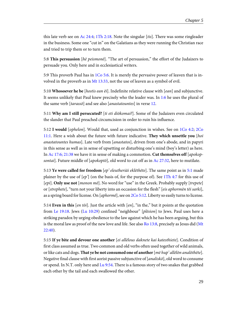<span id="page-32-5"></span>this late verb see on [Ac 24:4;](http://www.ccel.org/study/Bible:Acts.24.4) [1Th 2:18](http://www.ccel.org/study/Bible:1Thess.2.18). Note the singular [tis]. There was some ringleader in the business. Some one "cut in" on the Galatians as they were running the Christian race and tried to trip them or to turn them.

<span id="page-32-8"></span>5:8 **This persuasion** [hē peismonē]. "The art of persuasion," the effort of the Judaizers to persuade you. Only here and in ecclesiastical writers.

<span id="page-32-1"></span>5:9 This proverb Paul has in [1Co 5:6.](http://www.ccel.org/study/Bible:1Cor.5.6) It is merely the pervasive power of leaven that is involved in the proverb as in [Mt 13:33,](http://www.ccel.org/study/Bible:Matt.13.33) not the use of leaven as a symbol of evil.

<span id="page-32-12"></span><span id="page-32-10"></span>5:10 **Whosoever he be** [hostis ean ēi]. Indefinite relative clause with [ean] and subjunctive. It seems unlikely that Paul knew precisely who the leader was. In [1:6](http://www.ccel.org/study/Bible:Gal.1.6) he uses the plural of the same verb [tarassō] and see also [anastatountes] in verse [12](http://www.ccel.org/study/Bible:Gal.5.12).

<span id="page-32-7"></span>5:11 **Why am I still persecuted?** [ti eti diōkomai?]. Some of the Judaizers even circulated the slander that Paul preached circumcision in order to ruin his influence.

<span id="page-32-6"></span><span id="page-32-4"></span>5:12 **I would** [ophelon]. Would that, used as conjunction in wishes. See on [1Co 4:2](http://www.ccel.org/study/Bible:1Cor.4.2); [2Co](http://www.ccel.org/study/Bible:2Cor.11.1) [11:1](http://www.ccel.org/study/Bible:2Cor.11.1). Here a wish about the future with future indicative. **They which unsettle you** [hoi anastatountes humas]. Late verb from [anastatos], driven from one's abode, and in papyri in this sense as well as in sense of upsetting or disturbing one's mind (boy's letter) as here. In [Ac 17:6; 21:38](http://www.ccel.org/study/Bible:Acts.17.6 Bible:Acts.21.38) we have it in sense of making a commotion. **Cut themselves off** [apokopsontai]. Future middle of  $[apokopt\bar{o}]$ , old word to cut off as in [Ac 27:32,](http://www.ccel.org/study/Bible:Acts.27.32) here to mutilate.

<span id="page-32-13"></span><span id="page-32-11"></span><span id="page-32-9"></span>5:13 **Ye were called for freedom** [ep' eleutheriāi eklēthēte]. The same point as in [5:1](http://www.ccel.org/study/Bible:Gal.5.1) made plainer by the use of  $[ep']$  (on the basis of, for the purpose of). See [1Th 4:7](http://www.ccel.org/study/Bible:1Thess.4.7) for this use of [epi]. **Only use not** [monon mē]. No word for "use" in the Greek. Probably supply [trepete] or [strephete], "turn not your liberty into an occasion for the flesh" [eis aphormēn tēi sarki], as a spring board for license. On [aphormē], see on [2Co 5:12](http://www.ccel.org/study/Bible:2Cor.5.12). Liberty so easily turns to license.

<span id="page-32-2"></span><span id="page-32-0"></span>5:14 **Even in this** [en tōi]. Just the article with [en], "in the," but it points at the quotation from [Le 19:18](http://www.ccel.org/study/Bible:Lev.19.18). Jews [\(Lu 10:29](http://www.ccel.org/study/Bible:Luke.10.29)) confined "neighbour" [plēsion] to Jews. Paul uses here a striking paradox by urging obedience to the law against which he has been arguing, but this is the moral law as proof of the new love and life. See also [Ro 13:8,](http://www.ccel.org/study/Bible:Rom.13.8) precisely as Jesus did ([Mt](http://www.ccel.org/study/Bible:Matt.22.40) [22:40\)](http://www.ccel.org/study/Bible:Matt.22.40).

<span id="page-32-3"></span>5:15 **If ye bite and devour one another** [ei allēlous daknete kai katesthiete]. Condition of first class assumed as true. Two common and old verbs often used together of wild animals, or like cats and dogs. **That ye be not consumed one of another** [mē hup' allēlōn analōthēte]. Negative final clause with first aorist passive subjunctive of [*analiskō*], old word to consume or spend. In N.T. only here and [Lu 9:54](http://www.ccel.org/study/Bible:Luke.9.54). There is a famous story of two snakes that grabbed each other by the tail and each swallowed the other.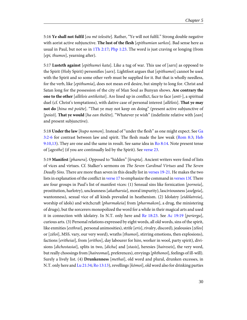<span id="page-33-8"></span>5:16 **Ye shall not fulfil** [ou mē telesēte]. Rather, "Ye will not fulfil." Strong double negative with aorist active subjunctive. **The lust of the flesh** [epithumian sarkos]. Bad sense here as usual in Paul, but not so in [1Th 2:17;](http://www.ccel.org/study/Bible:1Thess.2.17) [Php 1:23.](http://www.ccel.org/study/Bible:Phil.1.23) The word is just craving or longing (from [epi, thumos], yearning after).

5:17 **Lusteth against** [epithumei kata]. Like a tug of war. This use of [sarx] as opposed to the Spirit (Holy Spirit) personifies [sarx]. Lightfoot argues that [epithumei] cannot be used with the Spirit and so some other verb must be supplied for it. But that is wholly needless, for the verb, like [epithumia], does not mean evil desire, but simply to long for. Christ and Satan long for the possession of the city of Man Soul as Bunyan shows. **Are contrary the one to the other** [allelois antikeitai]. Are lined up in conflict, face to face [anti-], a spiritual duel (cf. Christ's temptations), with dative case of personal interest [allēlois]. **That ye may not do** [hina mē poiēte]. "That ye may not keep on doing" (present active subjunctive of [poieō]. **That ye would** [ha ean thelēte]. "Whatever ye wish" (indefinite relative with [ean] and present subjunctive).

<span id="page-33-7"></span><span id="page-33-4"></span><span id="page-33-3"></span><span id="page-33-2"></span>5:18 **Under the law** [hupo nomon]. Instead of "under the flesh" as one might expect. See [Ga](http://www.ccel.org/study/Bible:Gal.3.2-Gal.3.6) [3:2-6](http://www.ccel.org/study/Bible:Gal.3.2-Gal.3.6) for contrast between law and spirit. The flesh made the law weak ([Rom 8:3;](http://www.ccel.org/study/Bible:Rom.8.3) [Heb](http://www.ccel.org/study/Bible:Heb.9.10 Bible:Heb.9.13) [9:10,13](http://www.ccel.org/study/Bible:Heb.9.10 Bible:Heb.9.13)). They are one and the same in result. See same idea in  $\text{Ro } 8:14$ . Note present tense of [agesthe] (if you are continually led by the Spirit). See [verse 23](http://www.ccel.org/study/Bible:Gal.5.23).

<span id="page-33-6"></span><span id="page-33-5"></span><span id="page-33-1"></span><span id="page-33-0"></span>5:19 **Manifest** [phanera]. Opposed to "hidden" [krupta]. Ancient writers were fond of lists of vices and virtues. Cf. Stalker's sermons on The Seven Cardinal Virtues and The Seven Deadly Sins. There are more than seven in this deadly list in [verses 19-21.](http://www.ccel.org/study/Bible:Gal.5.19-Gal.5.21) He makes the two lists in explanation of the conflict in [verse 17](http://www.ccel.org/study/Bible:Gal.5.17) to emphasize the command in [verses 13f.](http://www.ccel.org/study/Bible:Gal.5.13) There are four groups in Paul's list of manifest vices: (1) Sensual sins like fornication [porneia], prostitution, harlotry), uncleanness [akatharsia], moral impurity), lasciviousness [aselgeia], wantonness), sexual vice of all kinds prevailed in heathenism. (2) Idolatry [eidōlatreia], worship of idols) and witchcraft [*pharmakeia*] from [*pharmakon*], a drug, the ministering of drugs), but the sorcerers monopolized the word for a while in their magical arts and used it in connection with idolatry. In N.T. only here and [Re 18:23.](http://www.ccel.org/study/Bible:Rev.18.23) See [Ac 19:19](http://www.ccel.org/study/Bible:Acts.19.19) [perierga], curious arts. (3) Personal relations expressed by eight words, all old words, sins of the spirit, like enmities [*exthrai*], personal animosities), strife [*eris*], rivalry, discord), jealousies [*zēlos*] or [zēloi], MSS. vary, our very word), wraths [thumoi], stirring emotions, then explosions), factions [eritheiai], from [erithos], day labourer for hire, worker in wool, party spirit), divisions [dichostasiai], splits in two, [dicha] and [stasis], heresies [haireseis], the very word, but really choosings from [haireomai], preferences], envyings [phthonoi], feelings of ill-will]. Surely a lively list. (4) **Drunkenness** [methai], old word and plural, drunken excesses, in N.T. only here and [Lu 21:34](http://www.ccel.org/study/Bible:Luke.21.34); [Ro 13:13](http://www.ccel.org/study/Bible:Rom.13.13)), revellings [kōmoi], old word also for drinking parties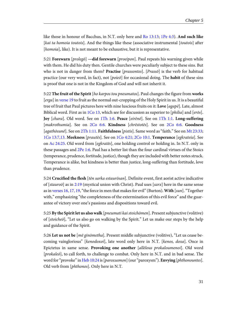<span id="page-34-2"></span>like those in honour of Bacchus, in N.T. only here and [Ro 13:13](http://www.ccel.org/study/Bible:Rom.13.13); [1Pe 4:3](http://www.ccel.org/study/Bible:1Pet.4.3)). **And such like** [kai ta homoia toutois]. And the things like these (associative instrumental [toutois] after [homoia], like). It is not meant to be exhaustive, but it is representative.

5:21 **Forewarn** [prolegō] **—did forewarn** [proeipon]. Paul repeats his warning given while with them. He did his duty then. Gentile churches were peculiarly subject to these sins. But who is not in danger from them? **Practise** [prassontes]. [Prassō] is the verb for habitual practice (our very word, in fact), not [poieō] for occasional doing. The **habit** of these sins is proof that one is not in the Kingdom of God and will not inherit it.

<span id="page-34-11"></span><span id="page-34-9"></span><span id="page-34-8"></span><span id="page-34-5"></span><span id="page-34-4"></span><span id="page-34-3"></span><span id="page-34-1"></span><span id="page-34-0"></span>5:22 **The fruit of the Spirit** [ho karpos tou pneumatos]. Paul changes the figure from **works** [erga] in [verse 19](http://www.ccel.org/study/Bible:Gal.5.19) to fruit as the normal out-cropping of the Holy Spirit in us. It is a beautiful tree of fruit that Paul pictures here with nine luscious fruits on it: **Love** [agapē]. Late, almost Biblical word. First as in  $1Co$  13, which see for discussion as superior to [*philia*] and [*er*ōs]. **Joy** [chara]. Old word. See on [1Th 1:6.](http://www.ccel.org/study/Bible:1Thess.1.6) **Peace** [eirēnē]. See on [1Th 1:1.](http://www.ccel.org/study/Bible:1Thess.1.1) **Long-suffering** [makrothumia]. See on [2Co 6:6.](http://www.ccel.org/study/Bible:2Cor.6.6) **Kindness** [chrēstotēs]. See on [2Co 6:6](http://www.ccel.org/study/Bible:2Cor.6.6). **Goodness** [agathōsunē]. See on [2Th 1:11.](http://www.ccel.org/study/Bible:2Thess.1.11) **Faithfulness** [pistis]. Same word as "faith." See on [Mt 23:33;](http://www.ccel.org/study/Bible:Matt.23.33) [1Co 13:7,13](http://www.ccel.org/study/Bible:1Cor.13.7 Bible:1Cor.13.13). **Meekness** [prautēs]. See on [1Co 4:21; 2Co 10:1](http://www.ccel.org/study/Bible:1Cor.4.21 Bible:2Cor.10.1). **Temperance** [egkrateia]. See on [Ac 24:25.](http://www.ccel.org/study/Bible:Acts.24.25) Old word from [egkratēs], one holding control or holding in. In N.T. only in these passages and [2Pe 1:6.](http://www.ccel.org/study/Bible:2Pet.1.6) Paul has a better list than the four cardinal virtues of the Stoics (temperance, prudence, fortitude, justice), though they are included with better notes struck. Temperance is alike, but kindness is better than justice, long-suffering than fortitude, love than prudence.

<span id="page-34-7"></span><span id="page-34-6"></span>5:24 **Crucified the flesh** [tēn sarka estaurōsan]. Definite event, first aorist active indicative of [stauroo] as in [2:19](http://www.ccel.org/study/Bible:Gal.2.19) (mystical union with Christ). Paul uses [sarx] here in the same sense as in [verses 16, 17, 19](http://www.ccel.org/study/Bible:Gal.5.16 Bible:Gal.5.17 Bible:Gal.5.19), "the force in men that makes for evil" (Burton). **With** [sun]. "Together with," emphasizing "the completeness of the extermination of this evil force" and the guarantee of victory over one's passions and dispositions toward evil.

5:25 **By the Spirit let us also walk** [pneumati kai stoichōmen]. Present subjunctive (volitive) of [stoicheō], "Let us also go on walking by the Spirit." Let us make our steps by the help and guidance of the Spirit.

<span id="page-34-10"></span>5:26 **Let us not be** [mē ginōmetha]. Present middle subjunctive (volitive), "Let us cease becoming vainglorious" [kenodoxoi], late word only here in N.T. [kenos, doxa]. Once in Epictetus in same sense. **Provoking one another** [allēlous prokaloumenoi]. Old word [prokaleō], to call forth, to challenge to combat. Only here in N.T. and in bad sense. The word for "provoke" in [Heb 10:24](http://www.ccel.org/study/Bible:Heb.10.24) is [paroxusmon] (our "paroxysm"). **Envying** [phthonountes]. Old verb from [phthonos]. Only here in N.T.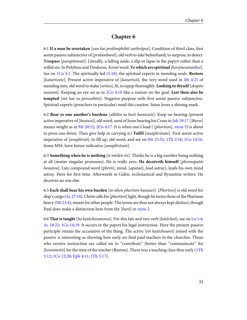## **Chapter 6**

<span id="page-35-9"></span><span id="page-35-1"></span><span id="page-35-0"></span>6:1 **If a man be overtaken** [ean kai prolēmphthēi anthrōpos]. Condition of third class, first aorist passive subjunctive of [*prolambanō*], old verb to take beforehand, to surprise, to detect. **Trespass** [paraptōmati]. Literally, a falling aside, a slip or lapse in the papyri rather than a wilful sin. In Polybius and Diodorus. Koinēword. **Ye which are spiritual**[hoi pneumatikoi]. See on [1Co 3:1](http://www.ccel.org/study/Bible:1Cor.3.1). The spiritually led ([5:18](http://www.ccel.org/study/Bible:Gal.5.18)), the spiritual experts in mending souls. **Restore** [katartizete]. Present active imperative of [katartizō], the very word used in [Mt 4:21](http://www.ccel.org/study/Bible:Matt.4.21) of mending nets, old word to make [artios], fit, to equip thoroughly. **Looking to thyself** [skopōn] seauton]. Keeping an eye on as in [2Co 4:18](http://www.ccel.org/study/Bible:2Cor.4.18) like a runner on the goal. **Lest thou also be tempted** [mē kai su peirasthēis]. Negative purpose with first aorist passive subjunctive. Spiritual experts (preachers in particular) need this caution. Satan loves a shining mark.

<span id="page-35-11"></span><span id="page-35-6"></span><span id="page-35-4"></span><span id="page-35-2"></span>6:2 **Bear ye one another's burdens** [allēlōn ta barē bastazete]. Keep on bearing (present active imperative of  $[bastazō]$ , old word, used of Jesus bearing his Cross in [Joh 19:17.](http://www.ccel.org/study/Bible:John.19.17) [Baros] means weight as in [Mt 20:12;](http://www.ccel.org/study/Bible:Matt.20.12) [2Co 4:17.](http://www.ccel.org/study/Bible:2Cor.4.17) It is when one's load ( $[phortion]$ , [verse 5\)](http://www.ccel.org/study/Bible:Gal.6.5) is about to press one down. Then give help in carrying it.) **Fulfil** [anaplērōsate]. First aorist active imperative of [anaplēroō], to fill up, old word, and see on [Mt 23:32](http://www.ccel.org/study/Bible:Matt.23.32); [1Th 2:16](http://www.ccel.org/study/Bible:1Thess.2.16); [1Co 14:16.](http://www.ccel.org/study/Bible:1Cor.14.16) Some MSS. have future indicative [anaplērōsete].

6:3 **Something when he is nothing** [ti mēden ōn]. Thinks he is a big number being nothing at all (neuter singular pronouns). He is really zero. **He deceiveth himself** [phrenapatāi heauton]. Late compound word [phrēn], mind, [apataō], lead astray), leads his own mind astray. Here for first time. Afterwards in Galen, ecclesiastical and Byzantine writers. He deceives no one else.

<span id="page-35-12"></span><span id="page-35-8"></span><span id="page-35-7"></span><span id="page-35-5"></span><span id="page-35-3"></span>6:5 **Each shall bear his own burden** [to idion phortion bastasei]. [Phortion] is old word for ship's cargo ([Ac 27:10](http://www.ccel.org/study/Bible:Acts.27.10)). Christ calls his [phortion] light, though he terms those of the Pharisees heavy [\(Mt 23:4](http://www.ccel.org/study/Bible:Matt.23.4)), meant for other people. The terms are thus not always kept distinct, though Paul does make a distinction here from the [barē] in [verse 2](http://www.ccel.org/study/Bible:Gal.6.2).

<span id="page-35-13"></span><span id="page-35-10"></span>6:6 **That is taught** [ho katēchoumenos]. For this late and rare verb [katēcheō], see on [Lu 1:4;](http://www.ccel.org/study/Bible:Luke.1.4) [Ac 18:25;](http://www.ccel.org/study/Bible:Acts.18.25) [1Co 14:19.](http://www.ccel.org/study/Bible:1Cor.14.19) It occurs in the papyri for legal instruction. Here the present passive participle retains the accusative of the thing. The active [tōi katēchounti] joined with the passive is interesting as showing how early we find paid teachers in the churches. Those who receive instruction are called on to "contribute" (better than "communicate" for  $[koin\delta]$  for the time of the teacher (Burton). There was a teaching class thus early [\(1Th](http://www.ccel.org/study/Bible:1Thess.5.12) [5:12](http://www.ccel.org/study/Bible:1Thess.5.12); [1Co 12:28;](http://www.ccel.org/study/Bible:1Cor.12.28) [Eph 4:11](http://www.ccel.org/study/Bible:Eph.4.11); [1Th 5:17](http://www.ccel.org/study/Bible:1Thess.5.17)).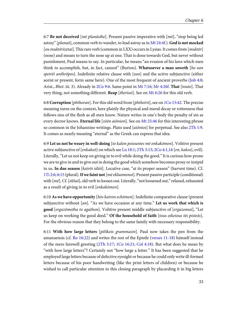<span id="page-36-3"></span>6:7 **Be not deceived** [mē planāsthe]. Present passive imperative with [mē], "stop being led astray" [planaō], common verb to wander, to lead astray as in [Mt 24:4f.\)](http://www.ccel.org/study/Bible:Matt.24.4). **God is not mocked** [*ou muktērizetai*]. This rare verb (common in LXX) occurs in Lysias. It comes from [*muktēr*] (nose) and means to turn the nose up at one. That is done towards God, but never without punishment, Paul means to say. In particular, he means "an evasion of his laws which men think to accomplish, but, in fact, cannot" (Burton). **Whatsoever a man soweth** [ho ean speirēi anthrōpos]. Indefinite relative clause with [ean] and the active subjunctive (either aorist or present, form same here). One of the most frequent of ancient proverbs ([Job 4:8;](http://www.ccel.org/study/Bible:Job.4.8) Arist., Rhet. iii. 3). Already in [2Co 9:6.](http://www.ccel.org/study/Bible:2Cor.9.6) Same point in [Mt 7:16](http://www.ccel.org/study/Bible:Matt.7.16); [Mr 4:26f.](http://www.ccel.org/study/Bible:Mark.4.26) **That** [touto]. That very thing, not something different. **Reap** [therisei]. See on [Mt 6:26](http://www.ccel.org/study/Bible:Matt.6.26) for this old verb.

<span id="page-36-9"></span><span id="page-36-7"></span><span id="page-36-4"></span><span id="page-36-2"></span><span id="page-36-1"></span><span id="page-36-0"></span>6:8 **Corruption** [phthoran]. For this old word from [phtheirō], see on [1Co 15:42.](http://www.ccel.org/study/Bible:1Cor.15.42) The precise meaning turns on the context, here plainly the physical and moral decay or rottenness that follows sins of the flesh as all men know. Nature writes in one's body the penalty of sin as every doctor knows. **Eternal life** [zōēn aiōnion]. See on [Mt 25:46](http://www.ccel.org/study/Bible:Matt.25.46) for this interesting phrase so common in the Johannine writings. Plato used [aiōnios] for perpetual. See also [2Th 1:9.](http://www.ccel.org/study/Bible:2Thess.1.9) It comes as nearly meaning "eternal" as the Greek can express that idea.

<span id="page-36-10"></span><span id="page-36-5"></span>6:9 **Let us not be weary in well-doing** [to kalon poiountes mē enkakōmen]. Volitive present active subjunctive of  $[enkake\bar{o}]$  on which see [Lu 18:1;](http://www.ccel.org/study/Bible:Luke.18.1) [2Th 3:13;](http://www.ccel.org/study/Bible:2Thess.3.13) [2Co 4:1,16](http://www.ccel.org/study/Bible:2Cor.4.1 Bible:2Cor.4.16)  $[en, kakos]$ , evil). Literally, "Let us not keep on giving in to evil while doing the good." It is curious how prone we are to give in and to give out in doing the good which somehow becomes prosy or insipid to us. **In due season** [kairōi idiōi]. Locative case, "at its proper season" (harvest time). Cf. [1Ti 2:6; 6:15](http://www.ccel.org/study/Bible:1Tim.2.6 Bible:1Tim.6.15) (plural). **If we faint not**[mē ekluomenoi]. Present passive participle (conditional) with [ $m\bar{e}$ ]. Cf. [ekluō], old verb to loosen out. Literally, "not loosened out," relaxed, exhausted as a result of giving in to evil [enkakōmen].

<span id="page-36-6"></span>6:10 **As we have opportunity** [hōs kairon echōmen]. Indefinite comparative clause (present subjunctive without [an]. "As we have occasion at any time." **Let us work that which is good** [ergazōmetha to agathon]. Volitive present middle subjunctive of [ergazomai], "Let us keep on working the good deed." **Of the household of faith** [tous oikeious tēs pisteōs]. For the obvious reason that they belong to the same family with necessary responsibility.

<span id="page-36-8"></span>6:11 **With how large letters** [pēlikois grammasin]. Paul now takes the pen from the amanuensis (cf. [Ro 16:22](http://www.ccel.org/study/Bible:Rom.16.22)) and writes the rest of the Epistle ([verses 11-18](http://www.ccel.org/study/Bible:Gal.6.11-Gal.6.18)) himself instead of the mere farewell greeting [\(2Th 3:17;](http://www.ccel.org/study/Bible:2Thess.3.17) [1Co 16:21](http://www.ccel.org/study/Bible:1Cor.16.21); [Col 4:18\)](http://www.ccel.org/study/Bible:Col.4.18). But what does he mean by "with how large letters"? Certainly not "how large a letter." It has been suggested that he employed large letters because of defective eyesight or because he could only write ill-formed letters because of his poor handwriting (like the print letters of children) or because he wished to call particular attention to this closing paragraph by placarding it in big letters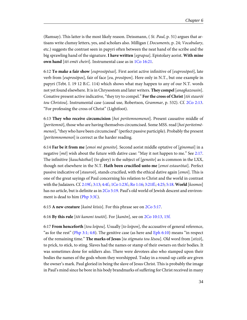(Ramsay). This latter is the most likely reason. Deissmann, (*St. Paul*, p. 51) argues that artisans write clumsy letters, yes, and scholars also. Milligan ( Documents, p. 24; Vocabulary, etc.) suggests the contrast seen in papyri often between the neat hand of the scribe and the big sprawling hand of the signature. **I have written** [egrapsa]. Epistolary aorist. **With mine own hand** [tēi emēi cheiri]. Instrumental case as in [1Co 16:21](http://www.ccel.org/study/Bible:1Cor.16.21).

<span id="page-37-2"></span><span id="page-37-1"></span>6:12 **To make a fair show** [euprosōpēsai]. First aorist active infinitive of [euprosōpeō], late verb from [euprosōpos], fair of face [eu, prosōpon]. Here only in N.T., but one example in papyri (Tebt. I. 19 12 B.C. 114) which shows what may happen to any of our N.T. words not yet found elsewhere. It is in Chrysostom and later writers. **They compel**[anagkazousin]. Conative present active indicative, "they try to compel." **For the cross of Christ** [tōi staurōi tou Christou]. Instrumental case (causal use, Robertson, Grammar, p. 532). Cf. [2Co 2:13.](http://www.ccel.org/study/Bible:2Cor.2.13) "For professing the cross of Christ" (Lightfoot).

6:13 **They who receive circumcision** [hoi peritemnomenoi]. Present causative middle of [peritemnō], those who are having themselves circumcised. Some MSS. read [hoi peritetmēmenoi], "they who have been circumcised" (perfect passive participle). Probably the present [*peritemnomenoi*] is correct as the harder reading.

<span id="page-37-8"></span><span id="page-37-6"></span><span id="page-37-4"></span><span id="page-37-0"></span>6:14 **Far be it from me** [emoi mē genoito]. Second aorist middle optative of [ginomai] in a negative  $[m\bar{e}]$  wish about the future with dative case: "May it not happen to me." See [2:17.](http://www.ccel.org/study/Bible:Gal.2.17) The infinitive [kauchāsthai] (to glory) is the subject of [genoito] as is common in the LXX, though not elsewhere in the N.T. **Hath been crucified unto me** [emoi estaurōtai]. Perfect passive indicative of [stauroō], stands crucified, with the ethical dative again [emoi]. This is one of the great sayings of Paul concerning his relation to Christ and the world in contrast with the Judaizers. Cf. [2:19f.](http://www.ccel.org/study/Bible:Gal.2.19); [3:13](http://www.ccel.org/study/Bible:Gal.3.13); [4:4f.](http://www.ccel.org/study/Bible:Gal.4.4); [1Co 1:23f.](http://www.ccel.org/study/Bible:1Cor.1.23); [Ro 1:16;](http://www.ccel.org/study/Bible:Rom.1.16) [3:21ff.;](http://www.ccel.org/study/Bible:Rom.3.21) [4:25;](http://www.ccel.org/study/Bible:Rom.4.25) [5:18](http://www.ccel.org/study/Bible:Rom.5.18). **World** [kosmos] has no article, but is definite as in [2Co 5:19.](http://www.ccel.org/study/Bible:2Cor.5.19) Paul's old world of Jewish descent and environment is dead to him [\(Php 3:3f.](http://www.ccel.org/study/Bible:Phil.3.3)).

<span id="page-37-7"></span><span id="page-37-5"></span><span id="page-37-3"></span>6:15 **A new creature** [kainē ktisis]. For this phrase see on [2Co 5:17.](http://www.ccel.org/study/Bible:2Cor.5.17)

6:16 **By this rule** [tōi kanoni toutōi]. For [kanōn], see on [2Co 10:13, 15f.](http://www.ccel.org/study/Bible:2Cor.10.13 Bible:2Cor.10.15)

6:17 **From henceforth** [tou loipou]. Usually [to loipon], the accusative of general reference, "as for the rest" [\(Php 3:1; 4:8](http://www.ccel.org/study/Bible:Phil.3.1 Bible:Phil.4.8)). The genitive case (as here and [Eph 6:10\)](http://www.ccel.org/study/Bible:Eph.6.10) means "in respect of the remaining time." **The marks of Jesus** [ta stigmata tou Iēsou]. Old word from [stizō], to prick, to stick, to sting. Slaves had the names or stamp of their owners on their bodies. It was sometimes done for soldiers also. There were devotees also who stamped upon their bodies the names of the gods whom they worshipped. Today in a round-up cattle are given the owner's mark. Paul gloried in being the slave of Jesus Christ. This is probably the image in Paul's mind since he bore in his body brandmarks of suffering for Christ received in many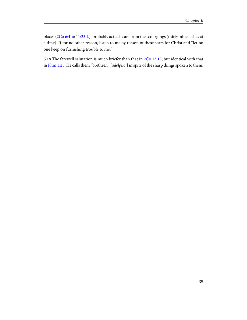<span id="page-38-0"></span>places ([2Co 6:4-6](http://www.ccel.org/study/Bible:2Cor.6.4-2Cor.6.6); [11:23ff.\)](http://www.ccel.org/study/Bible:2Cor.11.23), probably actual scars from the scourgings (thirty-nine lashes at a time). If for no other reason, listen to me by reason of these scars for Christ and "let no one keep on furnishing trouble to me."

<span id="page-38-2"></span><span id="page-38-1"></span>6:18 The farewell salutation is much briefer than that in [2Co 13:13,](http://www.ccel.org/study/Bible:2Cor.13.13) but identical with that in [Phm 1:25.](http://www.ccel.org/study/Bible:Phlm.1.25) He calls them "brethren" [adelphoi] in spite of the sharp things spoken to them.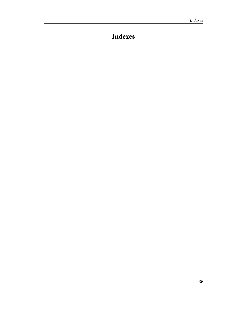# <span id="page-39-0"></span>**Indexes**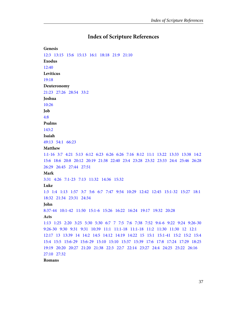#### **Index of Scripture References**

<span id="page-40-0"></span>**Genesis** [12:3](#page-18-0) [13:15](#page-20-0)  [15:6](#page-18-1) [15:13](#page-20-1) [16:1](#page-29-0) [18:18](#page-18-0) [21:9](#page-30-0) [21:10](#page-30-1) **Exodus** [12:40](#page-20-1) **Leviticus** [19:18](#page-32-0) **Deuteronomy** [21:23](#page-19-0)   [27:26](#page-18-2)   [28:54](#page-17-1)   [33:2](#page-21-0) **Joshua** [10:26](#page-19-1) **Job** [4:8](#page-36-0) **Psalms** [143:2](#page-15-0) **Isaiah** [49:13](#page-30-2)   [54:1](#page-30-3)  [66:23](#page-26-0) **Matthew** [1:1-16](#page-29-1)  [3:7](#page-18-3)  [4:21](#page-35-1)   [5:13](#page-31-1)   [6:12](#page-31-2)  [6:23](#page-5-1)  [6:26](#page-24-1)   [6:26](#page-36-1)   [7:16](#page-36-2)   [8:12](#page-22-0)  [11:1](#page-21-0)  [13:22](#page-5-1)   [13:33](#page-32-1)  [13:38](#page-25-0)   [14:2](#page-17-2) [15:6](#page-20-2)  [18:6](#page-19-2)  [20:8](#page-24-2)  [20:12](#page-35-2)  [20:19](#page-17-3)   [21:38](#page-20-3)  [22:40](#page-32-2)   [23:4](#page-35-3)  [23:28](#page-14-0)   [23:32](#page-35-4)  [23:33](#page-34-0)  [24:4](#page-36-3)  [25:46](#page-36-4)   [26:28](#page-19-3) [26:29](#page-29-2)   [26:45](#page-14-1)   [27:44](#page-16-0)   [27:51](#page-26-1) **Mark** [3:31](#page-31-3) [4:26](#page-36-2) [7:1-23](#page-8-0) [7:13](#page-20-2) [11:32](#page-21-1) [14:36](#page-25-1) [15:32](#page-16-0) **Luke** [1:3](#page-26-1) [1:4](#page-35-5)   [1:13](#page-29-3)  [1:57](#page-29-3) [3:7](#page-18-3)   [5:6](#page-21-2) [6:7](#page-26-2)   [7:47](#page-21-3)   [9:54](#page-32-3)   [10:29](#page-32-0)   [12:42](#page-24-3)   [12:45](#page-29-2) [15:1-32](#page-29-4) [15:27](#page-25-2)  [18:1](#page-36-5) [18:32](#page-14-1)   [21:34](#page-33-0)   [23:31](#page-19-1)   [24:34](#page-21-1) **John** [8:37-44](#page-18-4)   [10:1-42](#page-29-4) [11:50](#page-19-4) [15:1-6](#page-16-1) [15:26](#page-25-3) [16:22](#page-27-0)   [16:24](#page-27-0)   [19:17](#page-35-6)   [19:32](#page-16-0)   [20:28](#page-25-4) **Acts** [1:13](#page-8-1) [1:25](#page-12-0)   [2:20](#page-6-0) [3:25](#page-18-5)   [5:30](#page-19-5)  [5:30](#page-19-2)  [6:7](#page-9-0) [7](#page-7-0)   [7:5](#page-20-3)  [7:6](#page-20-4)  [7:38](#page-21-0)   [7:52](#page-21-0) [9:4-6](#page-5-2)   [9:22](#page-8-2) [9:24](#page-22-1)   [9:26-30](#page-9-1) [9:26-30](#page-9-2)   [9:30](#page-9-3)   [9:31](#page-7-1) [9:31](#page-9-2) [10:39](#page-19-5)  [11:1](#page-13-0) [11:1-18](#page-13-1)   [11:1-18](#page-10-1)   [11:2](#page-13-2)   [11:30](#page-13-3)   [11:30](#page-10-2) [12](#page-10-3) [12:1](#page-10-4)  [12:17](#page-10-5)   [13](#page-27-1)  [13:39](#page-15-1)   [14](#page-27-1)  [14:2](#page-17-4)   [14:5](#page-17-4)  [14:12](#page-27-2)   [14:19](#page-17-4)   [14:22](#page-17-4)  [15](#page-10-6)   [15:1](#page-10-7)  [15:1-41](#page-10-8)   [15:2](#page-10-9)  [15:2](#page-10-10)   [15:4](#page-10-11) [15:4](#page-10-12) [15:5](#page-10-13)   [15:6-29](#page-13-4)   [15:6-29](#page-10-11)   [15:10](#page-15-0)   [15:10](#page-24-4)   [15:37](#page-10-14)  [15:39](#page-14-2) [17:6](#page-32-4)   [17:8](#page-6-1) [17:24](#page-25-0)  [17:29](#page-26-3)  [18:25](#page-35-7) [19:19](#page-33-1)   [20:20](#page-13-5)   [20:27](#page-13-5)   [21:20](#page-8-1)   [21:38](#page-32-4) [22:3](#page-8-3)   [22:7](#page-5-2)   [22:14](#page-8-3)   [23:27](#page-5-3) [24:4](#page-32-5)   [24:25](#page-34-1)   [25:22](#page-28-0) [26:16](#page-5-2) [27:10](#page-35-8)   [27:32](#page-32-6) **Romans**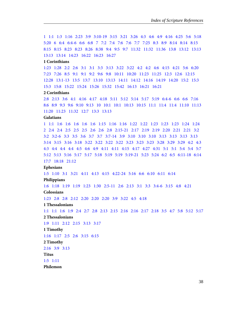[1](#page-15-2)  [1:1](#page-8-4)   [1:3](#page-25-5)   [1:16](#page-37-0)  [2:23](#page-21-4)   [3:9](#page-18-6)  [3:10-19](#page-21-5)  [3:15](#page-7-2)  [3:21](#page-37-0)  [3:26](#page-18-7)   [4:3](#page-18-8)   [4:6](#page-27-3)  [4:9](#page-27-3)  [4:16](#page-18-7)   [4:25](#page-37-0)  [5:6](#page-5-4)  [5:18](#page-37-0) [5:20](#page-11-0) [6](#page-15-3) [6:4](#page-16-2)   [6:4-6](#page-23-0) [6:6](#page-15-4)  [6:8](#page-16-2)   [7](#page-15-5) [7:2](#page-31-4)   [7:4](#page-15-6) [7:6](#page-15-6)   [7:6](#page-31-4)   [7:7](#page-27-0) [7:25](#page-16-1)   [8:3](#page-33-2)  [8:9](#page-25-6) [8:14](#page-22-2)   [8:14](#page-33-3)   [8:15](#page-22-3)  [8:15](#page-25-7) [8:15](#page-25-4) [8:23](#page-22-3) [8:23](#page-25-7)   [8:26](#page-25-8)   [8:38](#page-5-5)   [9:4](#page-25-7) [9:5](#page-6-2)   [9:7](#page-25-9) [11:32](#page-21-6) [11:32](#page-21-5)  [11:36](#page-6-2)   [13:8](#page-32-2) [13:12](#page-7-3)   [13:13](#page-33-0)  [13:13](#page-34-2)   [13:14](#page-22-4)   [14:23](#page-18-7)   [16:22](#page-36-6)   [16:23](#page-24-5) [16:27](#page-6-2)

#### **1 Corinthians**

[1:23](#page-37-0) [1:28](#page-20-2) [2:2](#page-17-3)   [2:6](#page-20-2) [3:1](#page-24-6)   [3:1](#page-35-9) [3:3](#page-7-2)   [3:13](#page-12-1)   [3:22](#page-5-5)   [3:22](#page-25-0) [4:2](#page-24-5)  [4:2](#page-32-7)   [4:6](#page-28-1) [4:15](#page-22-5) [4:21](#page-34-3)   [5:6](#page-32-8) [6:20](#page-19-6) [7:23](#page-19-6) [7:26](#page-5-5) [8:5](#page-26-4)   [9:1](#page-5-2) [9:1](#page-5-6)   [9:2](#page-12-0) [9:6](#page-14-2)   [9:8](#page-7-2)   [10:11](#page-29-5)   [10:20](#page-26-5)   [11:23](#page-7-4)   [11:25](#page-19-3) [12:3](#page-6-3)   [12:6](#page-17-5)   [12:15](#page-25-10)  [12:28](#page-35-10)   [13:1-13](#page-34-4)   [13:5](#page-18-1)   [13:7](#page-34-3)   [13:10](#page-17-2)   [13:13](#page-34-3)   [14:11](#page-8-5)   [14:12](#page-8-1) [14:16](#page-35-4) [14:19](#page-35-7) [14:20](#page-24-6)  [15:2](#page-17-6) [15:3](#page-5-4) [15:3](#page-7-5) [15:8](#page-5-7) [15:22](#page-21-7) [15:24](#page-20-2) [15:26](#page-20-2)   [15:32](#page-7-2)   [15:42](#page-36-7)   [16:13](#page-31-3)   [16:21](#page-36-8) [16:21](#page-37-1)

#### **2 Corinthians**

[2:8](#page-19-7) [2:13](#page-37-2)   [3:6](#page-19-3)  [4:1](#page-36-5) [4:16](#page-36-5)   [4:17](#page-35-2)   [4:18](#page-35-11)   [5:11](#page-7-6) [5:12](#page-32-9) [5:14](#page-19-4)  [5:17](#page-37-3)   [5:19](#page-37-4)   [6:4-6](#page-38-0) [6:6](#page-34-5)  [6:6](#page-34-5)   [7:16](#page-28-2) [8:6](#page-17-7)  [8:9](#page-25-11)  [9:3](#page-19-8)  [9:6](#page-36-2)  [9:10](#page-17-8)   [9:13](#page-11-1)  [10](#page-5-8)   [10:1](#page-31-5)   [10:1](#page-34-3)3  [10:15](#page-37-5)   [11:1](#page-32-7)  [11:4](#page-6-4)  [11:4](#page-6-5)   [11:10](#page-9-3)  [11:13](#page-11-2) [11:20](#page-11-3)   [11:23](#page-38-0)   [11:32](#page-22-1)   [12:7](#page-27-4)   [13:3](#page-8-5)   [13:13](#page-38-1)

#### **Galatians**

[1](#page-5-8) [1:1](#page-7-7)   [1:6](#page-12-2) [1:6](#page-26-6)   [1:6](#page-26-7)   [1:6](#page-28-3) [1:6](#page-32-10)   [1:15](#page-13-6) [1:16](#page-9-4) [1:16](#page-12-3) [1:22](#page-5-9)  [1:22](#page-8-6)   [1:23](#page-7-1)   [1:23](#page-8-2)  [1:23](#page-8-6) [1:24](#page-8-5) [1:24](#page-28-2) [2](#page-5-8) [2:4](#page-12-4)   [2:4](#page-12-5) [2:5](#page-12-6)   [2:5](#page-14-3)   [2:5](#page-11-4) [2:6](#page-8-7)   [2:6](#page-12-7) [2:8](#page-12-3)   [2:15-21](#page-14-4) [2:17](#page-37-6)   [2:19](#page-34-6)   [2:19](#page-37-0)   [2:20](#page-5-4) [2:21](#page-19-9) [2:21](#page-21-8) [3:2](#page-18-9)  [3:2](#page-26-8) [3:2-6](#page-33-4)   [3:3](#page-28-3) [3:5](#page-22-3)   [3:6](#page-18-10) [3:7](#page-22-0) [3:7](#page-30-4)   [3:7-14](#page-20-5)   [3:9](#page-18-11) [3:10](#page-19-10)  [3:10](#page-21-6)   [3:10](#page-31-2)   [3:13](#page-18-12)   [3:13](#page-19-11) [3:13](#page-25-12) [3:13](#page-37-0) [3:14](#page-22-6) [3:15](#page-20-6)   [3:16](#page-21-9) [3:18](#page-30-5)   [3:22](#page-22-7)  [3:22](#page-18-13)  [3:22](#page-22-8)   [3:22](#page-22-9)  [3:23](#page-22-10)   [3:23](#page-21-2) [3:23](#page-28-4)   [3:28](#page-31-6) [3:29](#page-24-7)   [3:29](#page-30-5) [4:2](#page-25-13)   [4:3](#page-24-4) [4:3](#page-26-9)  [4:4](#page-25-14) [4:4](#page-28-4)   [4:4](#page-37-0) [4:5](#page-19-12)  [4:6](#page-26-6)   [4:9](#page-24-4) [4:11](#page-17-6)   [4:11](#page-28-3)   [4:15](#page-27-4) [4:17](#page-28-3)   [4:27](#page-28-5)   [4:31](#page-31-7)  [5:1](#page-24-4)   [5:1](#page-32-11)   [5:4](#page-6-6) [5:4](#page-28-6)   [5:7](#page-17-9) [5:12](#page-32-12)  [5:13](#page-33-5)   [5:16](#page-34-7)   [5:17](#page-33-5)  [5:17](#page-34-7)   [5:18](#page-35-9)   [5:19](#page-34-8)  [5:19](#page-34-7)   [5:19-21](#page-33-6)  [5:23](#page-33-7)   [5:24](#page-16-3)   [6:2](#page-35-12)   [6:5](#page-35-2)   [6:11-18](#page-36-6)   [6:14](#page-16-3) [17:7](#page-20-0) [18:18](#page-18-0)  [21:12](#page-30-6)

#### **Ephesians**

[1:5](#page-25-7) [1:10](#page-25-15)   [3:1](#page-31-5)  [3:21](#page-6-7) [4:11](#page-35-10) [4:13](#page-24-8)   [4:15](#page-28-7)   [4:22-24](#page-22-4) [5:16](#page-19-12)   [6:6](#page-7-8)   [6:10](#page-37-7) [6:11](#page-22-4) [6:14](#page-22-4) **Philippians**

[1:6](#page-17-7) [1:18](#page-6-8)   [1:19](#page-17-10)   [1:19](#page-25-6)   [1:23](#page-33-8) [1:30](#page-8-5) [2:5-11](#page-25-11) [2:6](#page-25-16)   [2:13](#page-17-5)   [3:1](#page-37-7) [3:3](#page-37-8)   [3:4-6](#page-8-8)   [3:15](#page-24-8) [4:8](#page-37-7)   [4:21](#page-5-9) **Colossians**

[1:23](#page-31-5) [2:8](#page-24-4)   [2:8](#page-25-0)  [2:12](#page-16-2) [2:20](#page-16-2) [2:20](#page-24-4)   [2:20](#page-25-0)   [3:9](#page-22-4) [3:22](#page-7-8) [4:5](#page-19-12)   [4:18](#page-36-8)

**1 Thessalonians**

[1:1](#page-5-10)  [1:1](#page-34-9)  [1:6](#page-34-9)  [1:9](#page-12-1)  [2:4](#page-7-8)  [2:7](#page-28-8)  [2:8](#page-8-9)  [2:13](#page-17-10)   [2:15](#page-30-7)   [2:16](#page-31-5)  [2:16](#page-35-4)   [2:17](#page-33-8)   [2:18](#page-32-5)  [3:5](#page-11-5)  [4:7](#page-32-13)  [5:8](#page-22-11)  [5:12](#page-35-13)   [5:17](#page-35-10) **2 Thessalonians**

[1:9](#page-36-9) [1:11](#page-34-0)   [2:12](#page-5-5)   [2:15](#page-8-0)   [3:13](#page-36-5) [3:17](#page-36-8)

**1 Timothy**

[1:16](#page-8-5) [1:17](#page-6-7) [2:5](#page-21-10)   [2:6](#page-36-10) [3:15](#page-12-8) [6:15](#page-36-10)

**2 Timothy**

[2:16](#page-7-3) [3:9](#page-7-3)   [3:13](#page-7-3)

**Titus**

[1:5](#page-21-3) [1:11](#page-21-3)

**Philemon**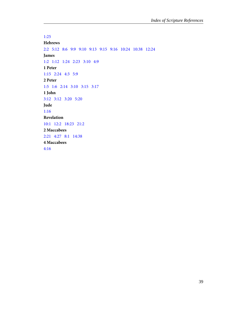[1:25](#page-38-2) **Hebrews** [2:2](#page-21-0) [5:12](#page-24-4)   [8:6](#page-21-10)  [9:9](#page-5-5) [9:10](#page-33-2)   [9:13](#page-33-2)   [9:15](#page-21-10)   [9:16](#page-19-3) [10:24](#page-34-10) [10:38](#page-13-7)   [12:24](#page-21-10) **James** [1:2](#page-27-5) [1:12](#page-27-5)   [1:24](#page-12-1)   [2:23](#page-18-14)   [3:10](#page-18-12) [4:9](#page-6-0) **1 Peter** [1:15](#page-7-9) [2:24](#page-19-5) [4:3](#page-34-2)   [5:9](#page-17-11) **2 Peter** [1:5](#page-17-10) [1:6](#page-34-11)   [2:14](#page-18-12)  [3:10](#page-24-9) [3:15](#page-14-5) [3:17](#page-14-6) **1 John** [3:12](#page-21-11) [3:12](#page-21-3) [3:20](#page-13-8) [5:20](#page-28-9) **Jude** [1:16](#page-21-12) **Revelation** [10:1](#page-12-8) [12:2](#page-28-5) [18:23](#page-33-1) [21:2](#page-30-8) **2 Maccabees** [2:21](#page-7-10) [4:27](#page-21-13) [8:1](#page-7-10)   [14:38](#page-7-10) **4 Maccabees** [4:16](#page-7-10)